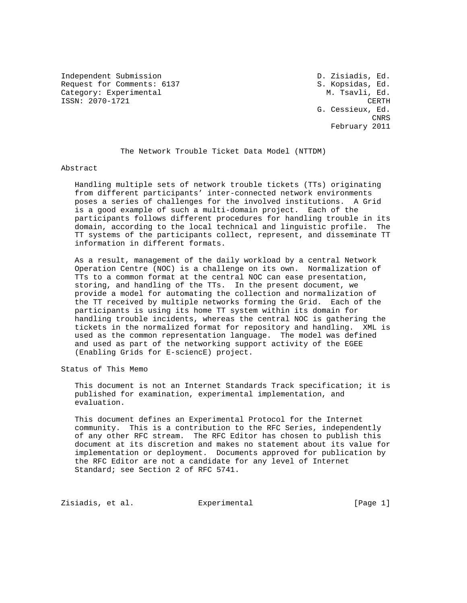Independent Submission **D. 21 State Submission** D. Zisiadis, Ed. Request for Comments: 6137 S. Kopsidas, Ed. Category: Experimental M. Tsavli, Ed. ISSN: 2070-1721 CERTH

 G. Cessieux, Ed. **CNRS CNRS** February 2011

The Network Trouble Ticket Data Model (NTTDM)

Abstract

 Handling multiple sets of network trouble tickets (TTs) originating from different participants' inter-connected network environments poses a series of challenges for the involved institutions. A Grid is a good example of such a multi-domain project. Each of the participants follows different procedures for handling trouble in its domain, according to the local technical and linguistic profile. The TT systems of the participants collect, represent, and disseminate TT information in different formats.

 As a result, management of the daily workload by a central Network Operation Centre (NOC) is a challenge on its own. Normalization of TTs to a common format at the central NOC can ease presentation, storing, and handling of the TTs. In the present document, we provide a model for automating the collection and normalization of the TT received by multiple networks forming the Grid. Each of the participants is using its home TT system within its domain for handling trouble incidents, whereas the central NOC is gathering the tickets in the normalized format for repository and handling. XML is used as the common representation language. The model was defined and used as part of the networking support activity of the EGEE (Enabling Grids for E-sciencE) project.

Status of This Memo

 This document is not an Internet Standards Track specification; it is published for examination, experimental implementation, and evaluation.

 This document defines an Experimental Protocol for the Internet community. This is a contribution to the RFC Series, independently of any other RFC stream. The RFC Editor has chosen to publish this document at its discretion and makes no statement about its value for implementation or deployment. Documents approved for publication by the RFC Editor are not a candidate for any level of Internet Standard; see Section 2 of RFC 5741.

Zisiadis, et al.  $\Box$  Experimental  $\Box$  [Page 1]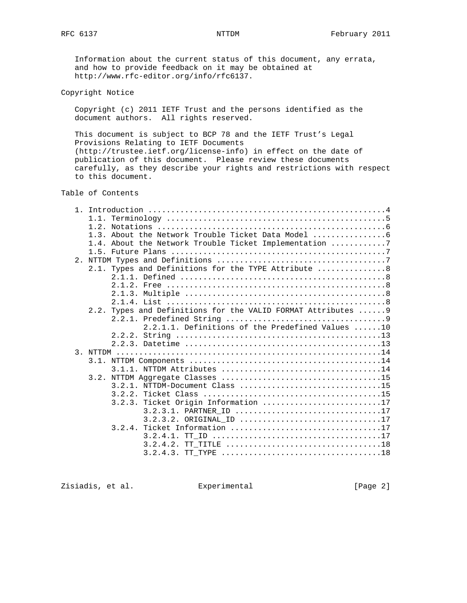Information about the current status of this document, any errata, and how to provide feedback on it may be obtained at http://www.rfc-editor.org/info/rfc6137.

Copyright Notice

 Copyright (c) 2011 IETF Trust and the persons identified as the document authors. All rights reserved.

 This document is subject to BCP 78 and the IETF Trust's Legal Provisions Relating to IETF Documents (http://trustee.ietf.org/license-info) in effect on the date of publication of this document. Please review these documents carefully, as they describe your rights and restrictions with respect to this document.

## Table of Contents

| 1.3. About the Network Trouble Ticket Data Model                                                       |
|--------------------------------------------------------------------------------------------------------|
| 1.4. About the Network Trouble Ticket Implementation 7                                                 |
|                                                                                                        |
|                                                                                                        |
| 2.1. Types and Definitions for the TYPE Attribute  8                                                   |
|                                                                                                        |
|                                                                                                        |
|                                                                                                        |
|                                                                                                        |
|                                                                                                        |
| 2.2. Types and Definitions for the VALID FORMAT Attributes  9                                          |
|                                                                                                        |
| 2.2.1.1. Definitions of the Predefined Values 10                                                       |
|                                                                                                        |
|                                                                                                        |
|                                                                                                        |
|                                                                                                        |
|                                                                                                        |
|                                                                                                        |
|                                                                                                        |
|                                                                                                        |
| 3.2.3. Ticket Origin Information 17                                                                    |
| 3.2.3.1. PARTNER ID 17                                                                                 |
|                                                                                                        |
|                                                                                                        |
|                                                                                                        |
| TT TITLE $\ldots \ldots \ldots \ldots \ldots \ldots \ldots \ldots \ldots \ldots \ldots 18$<br>3.2.4.2. |
|                                                                                                        |
|                                                                                                        |

Zisiadis, et al. Experimental [Page 2]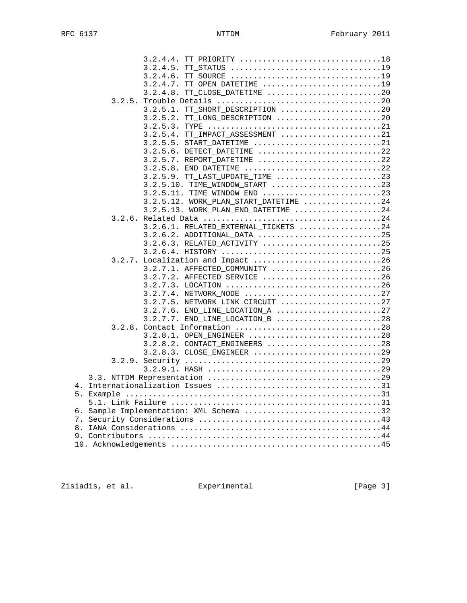| 3.2.4.4. TT PRIORITY 18                 |  |
|-----------------------------------------|--|
|                                         |  |
| 3.2.4.6.                                |  |
| 3.2.4.7. TT_OPEN_DATETIME 19            |  |
| TT_CLOSE_DATETIME 20<br>3.2.4.8.        |  |
|                                         |  |
| 3.2.5.1. TT SHORT DESCRIPTION 20        |  |
| $3.2.5.2.$ TT_LONG_DESCRIPTION 20       |  |
|                                         |  |
| 3.2.5.4. TT IMPACT ASSESSMENT 21        |  |
| 3.2.5.5. START_DATETIME 21              |  |
| 3.2.5.6. DETECT DATETIME 22             |  |
| 3.2.5.7. REPORT DATETIME 22             |  |
| 3.2.5.8. END_DATETIME 22                |  |
| 3.2.5.9. TT_LAST_UPDATE_TIME 23         |  |
| 3.2.5.10. TIME_WINDOW_START 23          |  |
| 3.2.5.11. TIME_WINDOW_END 23            |  |
| $3.2.5.12.$ WORK_PLAN_START_DATETIME 24 |  |
| $3.2.5.13$ . WORK PLAN END DATETIME 24  |  |
|                                         |  |
| 3.2.6.1. RELATED EXTERNAL TICKETS 24    |  |
| 3.2.6.2. ADDITIONAL_DATA 25             |  |
| 3.2.6.3. RELATED_ACTIVITY 25            |  |
| 3.2.7. Localization and Impact 26       |  |
| 3.2.7.1. AFFECTED_COMMUNITY 26          |  |
| 3.2.7.2. AFFECTED_SERVICE 26            |  |
| 3.2.7.3. LOCATION 26                    |  |
| 3.2.7.4. NETWORK_NODE 27                |  |
| 3.2.7.5. NETWORK LINK CIRCUIT 27        |  |
| $3.2.7.6$ . END_LINE_LOCATION_A 27      |  |
| $3.2.7.7.$ END_LINE_LOCATION_B 28       |  |
|                                         |  |
| 3.2.8.1. OPEN_ENGINEER 28               |  |
| 3.2.8.2. CONTACT_ENGINEERS 28           |  |
| 3.2.8.3. CLOSE ENGINEER 29              |  |
|                                         |  |
|                                         |  |
|                                         |  |
|                                         |  |
|                                         |  |
|                                         |  |
| 6. Sample Implementation: XML Schema 32 |  |
|                                         |  |
|                                         |  |
|                                         |  |
|                                         |  |

Zisiadis, et al. Experimental [Page 3]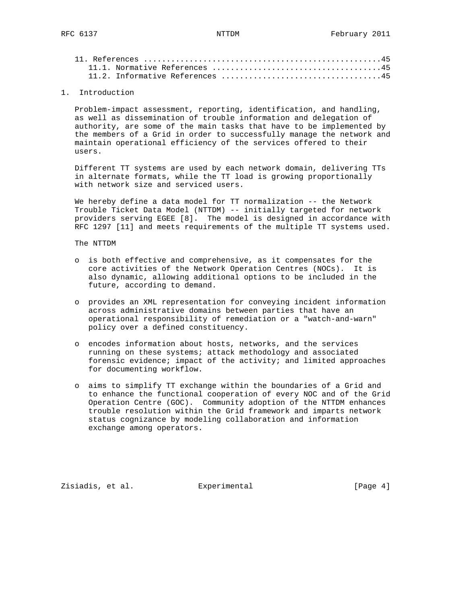#### 1. Introduction

 Problem-impact assessment, reporting, identification, and handling, as well as dissemination of trouble information and delegation of authority, are some of the main tasks that have to be implemented by the members of a Grid in order to successfully manage the network and maintain operational efficiency of the services offered to their users.

 Different TT systems are used by each network domain, delivering TTs in alternate formats, while the TT load is growing proportionally with network size and serviced users.

We hereby define a data model for TT normalization -- the Network Trouble Ticket Data Model (NTTDM) -- initially targeted for network providers serving EGEE [8]. The model is designed in accordance with RFC 1297 [11] and meets requirements of the multiple TT systems used.

The NTTDM

- o is both effective and comprehensive, as it compensates for the core activities of the Network Operation Centres (NOCs). It is also dynamic, allowing additional options to be included in the future, according to demand.
- o provides an XML representation for conveying incident information across administrative domains between parties that have an operational responsibility of remediation or a "watch-and-warn" policy over a defined constituency.
- o encodes information about hosts, networks, and the services running on these systems; attack methodology and associated forensic evidence; impact of the activity; and limited approaches for documenting workflow.
- o aims to simplify TT exchange within the boundaries of a Grid and to enhance the functional cooperation of every NOC and of the Grid Operation Centre (GOC). Community adoption of the NTTDM enhances trouble resolution within the Grid framework and imparts network status cognizance by modeling collaboration and information exchange among operators.

Zisiadis, et al. Experimental [Page 4]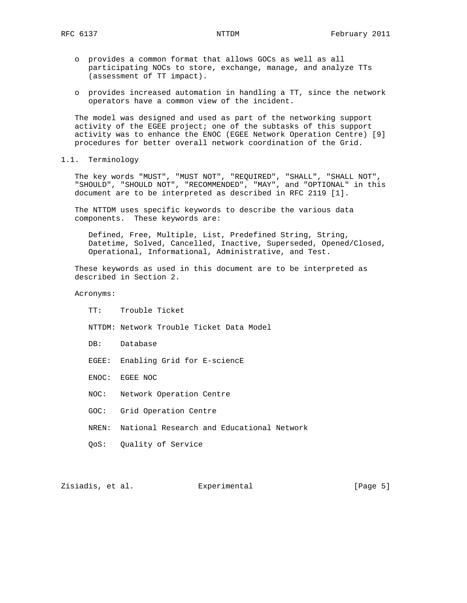- o provides a common format that allows GOCs as well as all participating NOCs to store, exchange, manage, and analyze TTs (assessment of TT impact).
- o provides increased automation in handling a TT, since the network operators have a common view of the incident.

 The model was designed and used as part of the networking support activity of the EGEE project; one of the subtasks of this support activity was to enhance the ENOC (EGEE Network Operation Centre) [9] procedures for better overall network coordination of the Grid.

1.1. Terminology

 The key words "MUST", "MUST NOT", "REQUIRED", "SHALL", "SHALL NOT", "SHOULD", "SHOULD NOT", "RECOMMENDED", "MAY", and "OPTIONAL" in this document are to be interpreted as described in RFC 2119 [1].

 The NTTDM uses specific keywords to describe the various data components. These keywords are:

 Defined, Free, Multiple, List, Predefined String, String, Datetime, Solved, Cancelled, Inactive, Superseded, Opened/Closed, Operational, Informational, Administrative, and Test.

 These keywords as used in this document are to be interpreted as described in Section 2.

Acronyms:

TT: Trouble Ticket

 NTTDM: Network Trouble Ticket Data Model DB: Database EGEE: Enabling Grid for E-sciencE ENOC: EGEE NOC NOC: Network Operation Centre GOC: Grid Operation Centre NREN: National Research and Educational Network QoS: Quality of Service

Zisiadis, et al. Experimental [Page 5]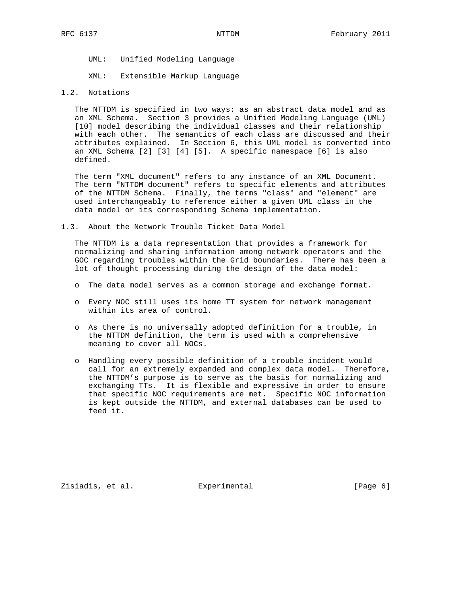UML: Unified Modeling Language

XML: Extensible Markup Language

#### 1.2. Notations

 The NTTDM is specified in two ways: as an abstract data model and as an XML Schema. Section 3 provides a Unified Modeling Language (UML) [10] model describing the individual classes and their relationship with each other. The semantics of each class are discussed and their attributes explained. In Section 6, this UML model is converted into an XML Schema [2] [3] [4] [5]. A specific namespace [6] is also defined.

 The term "XML document" refers to any instance of an XML Document. The term "NTTDM document" refers to specific elements and attributes of the NTTDM Schema. Finally, the terms "class" and "element" are used interchangeably to reference either a given UML class in the data model or its corresponding Schema implementation.

1.3. About the Network Trouble Ticket Data Model

 The NTTDM is a data representation that provides a framework for normalizing and sharing information among network operators and the GOC regarding troubles within the Grid boundaries. There has been a lot of thought processing during the design of the data model:

- o The data model serves as a common storage and exchange format.
- o Every NOC still uses its home TT system for network management within its area of control.
- o As there is no universally adopted definition for a trouble, in the NTTDM definition, the term is used with a comprehensive meaning to cover all NOCs.
- o Handling every possible definition of a trouble incident would call for an extremely expanded and complex data model. Therefore, the NTTDM's purpose is to serve as the basis for normalizing and exchanging TTs. It is flexible and expressive in order to ensure that specific NOC requirements are met. Specific NOC information is kept outside the NTTDM, and external databases can be used to feed it.

Zisiadis, et al.  $\Box$  Experimental  $\Box$  [Page 6]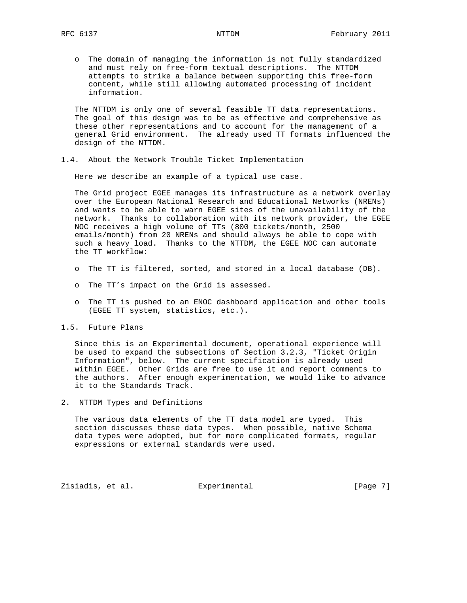o The domain of managing the information is not fully standardized and must rely on free-form textual descriptions. The NTTDM attempts to strike a balance between supporting this free-form content, while still allowing automated processing of incident information.

 The NTTDM is only one of several feasible TT data representations. The goal of this design was to be as effective and comprehensive as these other representations and to account for the management of a general Grid environment. The already used TT formats influenced the design of the NTTDM.

1.4. About the Network Trouble Ticket Implementation

Here we describe an example of a typical use case.

 The Grid project EGEE manages its infrastructure as a network overlay over the European National Research and Educational Networks (NRENs) and wants to be able to warn EGEE sites of the unavailability of the network. Thanks to collaboration with its network provider, the EGEE NOC receives a high volume of TTs (800 tickets/month, 2500 emails/month) from 20 NRENs and should always be able to cope with such a heavy load. Thanks to the NTTDM, the EGEE NOC can automate the TT workflow:

- o The TT is filtered, sorted, and stored in a local database (DB).
- o The TT's impact on the Grid is assessed.
- o The TT is pushed to an ENOC dashboard application and other tools (EGEE TT system, statistics, etc.).
- 1.5. Future Plans

 Since this is an Experimental document, operational experience will be used to expand the subsections of Section 3.2.3, "Ticket Origin Information", below. The current specification is already used within EGEE. Other Grids are free to use it and report comments to the authors. After enough experimentation, we would like to advance it to the Standards Track.

2. NTTDM Types and Definitions

 The various data elements of the TT data model are typed. This section discusses these data types. When possible, native Schema data types were adopted, but for more complicated formats, regular expressions or external standards were used.

Zisiadis, et al. Experimental [Page 7]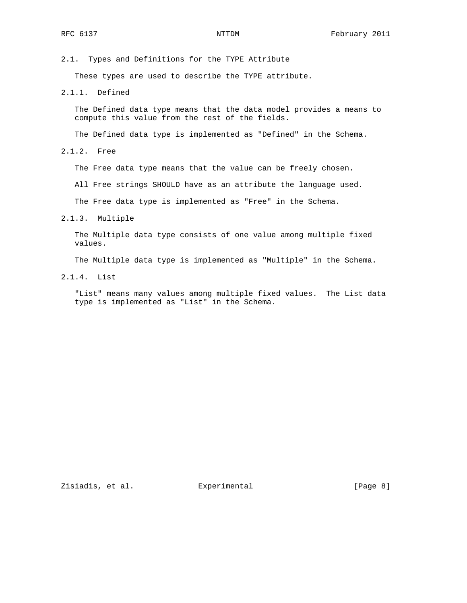2.1. Types and Definitions for the TYPE Attribute

These types are used to describe the TYPE attribute.

2.1.1. Defined

 The Defined data type means that the data model provides a means to compute this value from the rest of the fields.

The Defined data type is implemented as "Defined" in the Schema.

2.1.2. Free

The Free data type means that the value can be freely chosen.

All Free strings SHOULD have as an attribute the language used.

The Free data type is implemented as "Free" in the Schema.

2.1.3. Multiple

 The Multiple data type consists of one value among multiple fixed values.

The Multiple data type is implemented as "Multiple" in the Schema.

2.1.4. List

 "List" means many values among multiple fixed values. The List data type is implemented as "List" in the Schema.

Zisiadis, et al. Experimental [Page 8]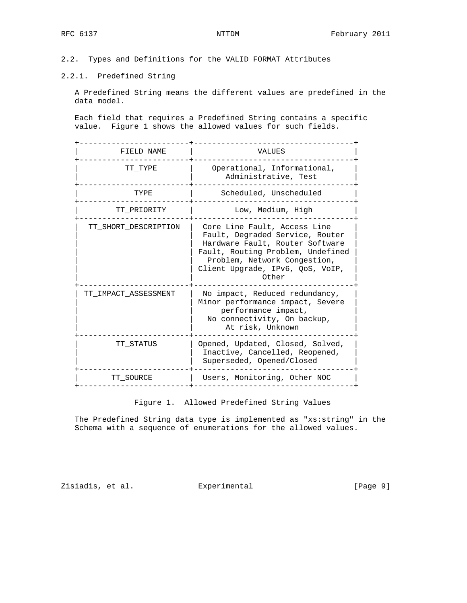2.2. Types and Definitions for the VALID FORMAT Attributes

## 2.2.1. Predefined String

 A Predefined String means the different values are predefined in the data model.

 Each field that requires a Predefined String contains a specific value. Figure 1 shows the allowed values for such fields.

| FIELD NAME           | VALUES                                                                                                                                                                                                               |
|----------------------|----------------------------------------------------------------------------------------------------------------------------------------------------------------------------------------------------------------------|
| TT TYPE              | Operational, Informational,<br>Administrative, Test                                                                                                                                                                  |
| TYPE                 | Scheduled, Unscheduled                                                                                                                                                                                               |
| TT PRIORITY          | Low, Medium, High                                                                                                                                                                                                    |
| TT SHORT DESCRIPTION | Core Line Fault, Access Line<br>Fault, Degraded Service, Router<br>Hardware Fault, Router Software<br>Fault, Routing Problem, Undefined<br>Problem, Network Congestion,<br>Client Upgrade, IPv6, QoS, VoIP,<br>Other |
| TT IMPACT ASSESSMENT | No impact, Reduced redundancy,<br>Minor performance impact, Severe<br>performance impact,<br>No connectivity, On backup,<br>At risk, Unknown                                                                         |
| TT STATUS            | Opened, Updated, Closed, Solved,<br>Inactive, Cancelled, Reopened,<br>Superseded, Opened/Closed                                                                                                                      |
| TT SOURCE            | Users, Monitoring, Other NOC                                                                                                                                                                                         |
|                      |                                                                                                                                                                                                                      |

Figure 1. Allowed Predefined String Values

 The Predefined String data type is implemented as "xs:string" in the Schema with a sequence of enumerations for the allowed values.

Zisiadis, et al. Experimental [Page 9]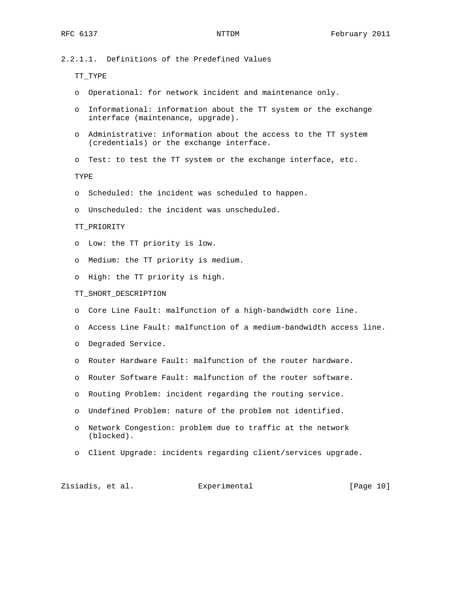2.2.1.1. Definitions of the Predefined Values

TT\_TYPE

- o Operational: for network incident and maintenance only.
- o Informational: information about the TT system or the exchange interface (maintenance, upgrade).
- o Administrative: information about the access to the TT system (credentials) or the exchange interface.
- o Test: to test the TT system or the exchange interface, etc.

TYPE

- o Scheduled: the incident was scheduled to happen.
- o Unscheduled: the incident was unscheduled.

#### TT\_PRIORITY

- o Low: the TT priority is low.
- o Medium: the TT priority is medium.
- o High: the TT priority is high.

#### TT\_SHORT\_DESCRIPTION

- o Core Line Fault: malfunction of a high-bandwidth core line.
- o Access Line Fault: malfunction of a medium-bandwidth access line.
- o Degraded Service.
- o Router Hardware Fault: malfunction of the router hardware.
- o Router Software Fault: malfunction of the router software.
- o Routing Problem: incident regarding the routing service.
- o Undefined Problem: nature of the problem not identified.
- o Network Congestion: problem due to traffic at the network (blocked).
- o Client Upgrade: incidents regarding client/services upgrade.

Zisiadis, et al. Experimental [Page 10]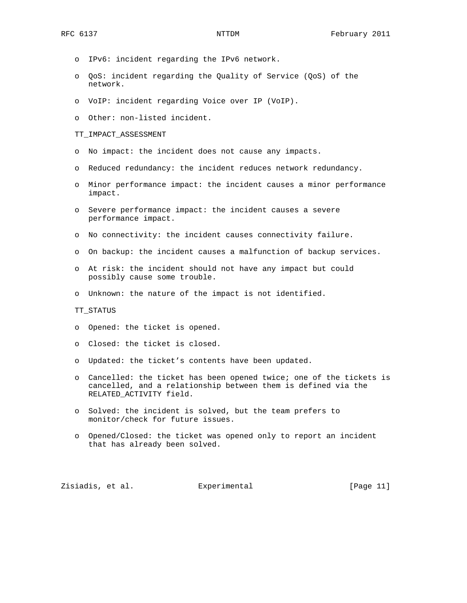- o IPv6: incident regarding the IPv6 network.
- o QoS: incident regarding the Quality of Service (QoS) of the network.
- o VoIP: incident regarding Voice over IP (VoIP).
- o Other: non-listed incident.

#### TT\_IMPACT\_ASSESSMENT

- o No impact: the incident does not cause any impacts.
- o Reduced redundancy: the incident reduces network redundancy.
- o Minor performance impact: the incident causes a minor performance impact.
- o Severe performance impact: the incident causes a severe performance impact.
- o No connectivity: the incident causes connectivity failure.
- o On backup: the incident causes a malfunction of backup services.
- o At risk: the incident should not have any impact but could possibly cause some trouble.
- o Unknown: the nature of the impact is not identified.

#### TT\_STATUS

- o Opened: the ticket is opened.
- o Closed: the ticket is closed.
- o Updated: the ticket's contents have been updated.
- o Cancelled: the ticket has been opened twice; one of the tickets is cancelled, and a relationship between them is defined via the RELATED\_ACTIVITY field.
- o Solved: the incident is solved, but the team prefers to monitor/check for future issues.
- o Opened/Closed: the ticket was opened only to report an incident that has already been solved.

Zisiadis, et al. Experimental [Page 11]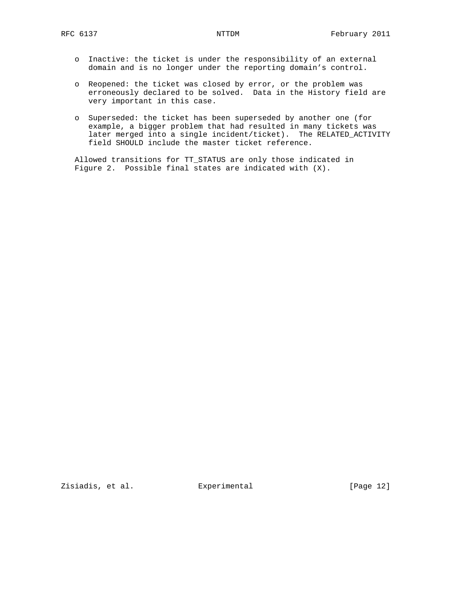- o Inactive: the ticket is under the responsibility of an external domain and is no longer under the reporting domain's control.
- o Reopened: the ticket was closed by error, or the problem was erroneously declared to be solved. Data in the History field are very important in this case.
- o Superseded: the ticket has been superseded by another one (for example, a bigger problem that had resulted in many tickets was later merged into a single incident/ticket). The RELATED\_ACTIVITY field SHOULD include the master ticket reference.

 Allowed transitions for TT\_STATUS are only those indicated in Figure 2. Possible final states are indicated with (X).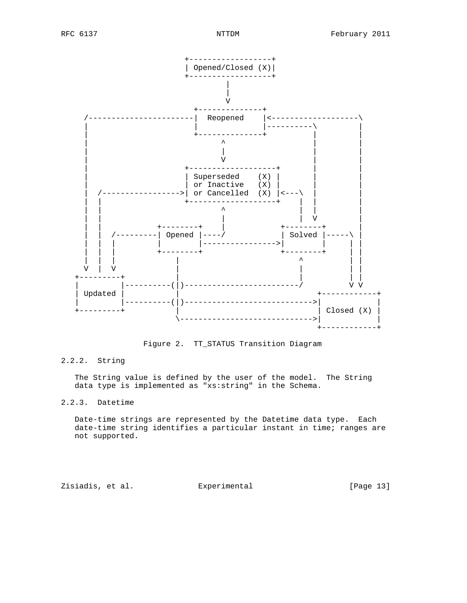

Figure 2. TT\_STATUS Transition Diagram

## 2.2.2. String

 The String value is defined by the user of the model. The String data type is implemented as "xs:string" in the Schema.

## 2.2.3. Datetime

 Date-time strings are represented by the Datetime data type. Each date-time string identifies a particular instant in time; ranges are not supported.

Zisiadis, et al. Experimental [Page 13]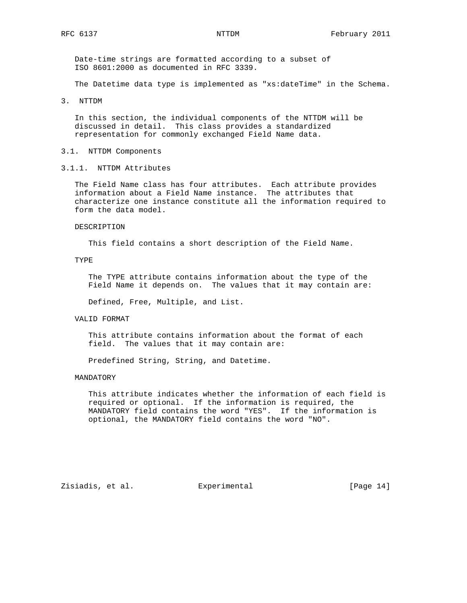Date-time strings are formatted according to a subset of ISO 8601:2000 as documented in RFC 3339.

The Datetime data type is implemented as "xs:dateTime" in the Schema.

3. NTTDM

 In this section, the individual components of the NTTDM will be discussed in detail. This class provides a standardized representation for commonly exchanged Field Name data.

#### 3.1. NTTDM Components

3.1.1. NTTDM Attributes

 The Field Name class has four attributes. Each attribute provides information about a Field Name instance. The attributes that characterize one instance constitute all the information required to form the data model.

#### DESCRIPTION

This field contains a short description of the Field Name.

### TYPE

 The TYPE attribute contains information about the type of the Field Name it depends on. The values that it may contain are:

Defined, Free, Multiple, and List.

#### VALID FORMAT

 This attribute contains information about the format of each field. The values that it may contain are:

Predefined String, String, and Datetime.

#### MANDATORY

 This attribute indicates whether the information of each field is required or optional. If the information is required, the MANDATORY field contains the word "YES". If the information is optional, the MANDATORY field contains the word "NO".

Zisiadis, et al. Experimental [Page 14]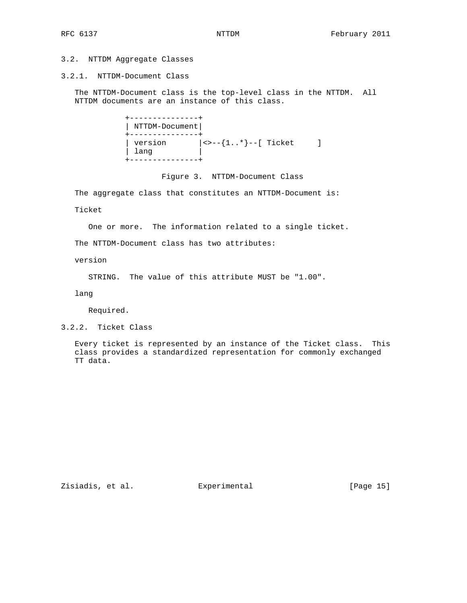### 3.2. NTTDM Aggregate Classes

### 3.2.1. NTTDM-Document Class

 The NTTDM-Document class is the top-level class in the NTTDM. All NTTDM documents are an instance of this class.

```
 +---------------+
                                | NTTDM-Document|
                                +---------------+
| version | \times \text{--} \{ 1..* \} \text{--} [ Ticket ]
| lang | lang | lang | lang | lang | lang | lang | lang | lang | lang | lang | lang | lang | lang | lang | lang | lang | lang | lang | lang | lang | lang | lang | lang | lang | lang | lang | lang | lang | lang | lang | lan
                                +---------------+
```
Figure 3. NTTDM-Document Class

The aggregate class that constitutes an NTTDM-Document is:

Ticket

One or more. The information related to a single ticket.

The NTTDM-Document class has two attributes:

version

STRING. The value of this attribute MUST be "1.00".

lang

Required.

3.2.2. Ticket Class

 Every ticket is represented by an instance of the Ticket class. This class provides a standardized representation for commonly exchanged TT data.

Zisiadis, et al. Experimental [Page 15]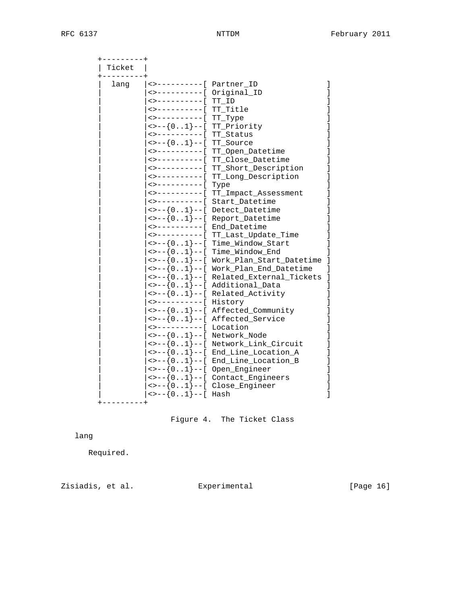| . - - - - - - - - +<br>Ticket |                                     |                                                                                           |  |
|-------------------------------|-------------------------------------|-------------------------------------------------------------------------------------------|--|
| lang                          |                                     |                                                                                           |  |
|                               | <>----------[ Original_ID           |                                                                                           |  |
|                               | <>----------[ TT ID                 |                                                                                           |  |
|                               | <>-----------[ TT_Title             |                                                                                           |  |
|                               | <>----------[ TT_Type               |                                                                                           |  |
|                               | $\leftarrow$ --{01}--[ TT_Priority  |                                                                                           |  |
|                               | <>----------[ TT_Status             |                                                                                           |  |
|                               | $\leftarrow$ --{01}--[ TT_Source    |                                                                                           |  |
|                               |                                     | <>----------[ TT_Open_Datetime                                                            |  |
|                               |                                     | <>----------[ TT_Close_Datetime                                                           |  |
|                               |                                     | <>----------[ TT_Short_Description                                                        |  |
|                               | <>----------[                       | TT_Long_Description                                                                       |  |
|                               | <>------------                      | Type                                                                                      |  |
|                               | <>----------                        | TT_Impact_Assessment                                                                      |  |
|                               | <>---------[                        | Start_Datetime                                                                            |  |
|                               |                                     | $\leftarrow$ --{01}--[ Detect_Datetime                                                    |  |
|                               |                                     | $\leftarrow$ --{01}--[ Report_Datetime                                                    |  |
|                               | <>----------[ End Datetime          |                                                                                           |  |
|                               |                                     | <>----------[ TT_Last_Update_Time                                                         |  |
|                               |                                     | $\leftarrow$ $-$ {01} --[ Time_Window_Start                                               |  |
|                               |                                     | $\left\{01\right\}--[$ Time_Window_End                                                    |  |
|                               |                                     | <>--{01}--[ Work_Plan_Start_Datetime                                                      |  |
|                               |                                     | $\left\{01\right\}--[$ Work_Plan_End_Datetime                                             |  |
|                               |                                     | $\left\{01\right\}-\left[$ Related_External_Tickets                                       |  |
|                               |                                     | $\left\{01\right\}-\left[$ Additional_Data                                                |  |
|                               |                                     | $\leftarrow$ --{01}--[ Related_Activity                                                   |  |
|                               | <>----------[ History               |                                                                                           |  |
|                               |                                     | $\leftarrow$ --{01}--[ Affected_Community                                                 |  |
|                               |                                     | $\leftarrow$ $-$ {01}--[ Affected_Service                                                 |  |
|                               | <>----------[ Location              |                                                                                           |  |
|                               | $\leftarrow$ --{01}--[ Network_Node |                                                                                           |  |
|                               |                                     | <>--{01}--[ Network_Link_Circuit                                                          |  |
|                               |                                     | $\left\{\n  01 \right\}$ --[ End_Line_Location_A                                          |  |
|                               |                                     | $\left\{\n\begin{matrix}\n0.1 & -1 \\ 0.1 & -1\n\end{matrix}\right\}$ End_Line_Location_B |  |
|                               |                                     | $\leftarrow$ --{01}--[ Open_Engineer                                                      |  |
|                               |                                     | $\leftarrow$ --{01}--[ Contact_Engineers                                                  |  |
|                               |                                     | $\left\{01\right\}-\left[$ Close_Engineer                                                 |  |
|                               | $\leftarrow$ --{01}--[ Hash         |                                                                                           |  |
|                               |                                     |                                                                                           |  |

Figure 4. The Ticket Class

lang

Required.

Zisiadis, et al. Experimental [Page 16]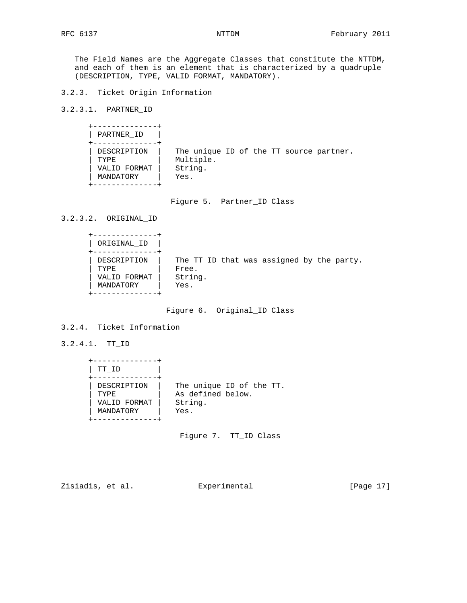The Field Names are the Aggregate Classes that constitute the NTTDM, and each of them is an element that is characterized by a quadruple (DESCRIPTION, TYPE, VALID FORMAT, MANDATORY).

3.2.3. Ticket Origin Information

3.2.3.1. PARTNER\_ID

| PARTNER ID                                        |                                                                         |  |  |  |
|---------------------------------------------------|-------------------------------------------------------------------------|--|--|--|
| DESCRIPTION<br>TYPE.<br>VALID FORMAT<br>MANDATORY | The unique ID of the TT source partner.<br>Multiple.<br>String.<br>Yes. |  |  |  |

Figure 5. Partner\_ID Class

3.2.3.2. ORIGINAL\_ID

| ORIGINAL ID  |                                           |
|--------------|-------------------------------------------|
| DESCRIPTION  | The TT ID that was assigned by the party. |
| TYPE.        | Free.                                     |
| VALID FORMAT | String.                                   |
| MANDATORY    | Yes.                                      |

Figure 6. Original\_ID Class

3.2.4. Ticket Information

3.2.4.1. TT\_ID

| TT ID        |                          |
|--------------|--------------------------|
| DESCRIPTION  | The unique ID of the TT. |
| TYPE.        | As defined below.        |
| VALID FORMAT | String.                  |
| MANDATORY    | Yes.                     |

Figure 7. TT\_ID Class

Zisiadis, et al. Experimental [Page 17]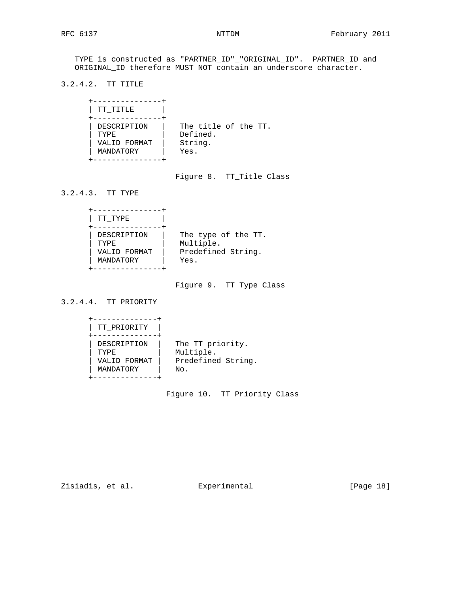TYPE is constructed as "PARTNER\_ID"\_"ORIGINAL\_ID". PARTNER\_ID and ORIGINAL\_ID therefore MUST NOT contain an underscore character.

3.2.4.2. TT\_TITLE

| TT TITLE     |                      |
|--------------|----------------------|
| DESCRIPTION  | The title of the TT. |
| <b>TYPE</b>  | Defined.             |
| VALID FORMAT | String.              |
| MANDATORY    | Yes.                 |

Figure 8. TT\_Title Class

3.2.4.3. TT\_TYPE

| TT TYPE      |                     |
|--------------|---------------------|
| DESCRIPTION  | The type of the TT. |
| <b>TYPE</b>  | Multiple.           |
| VALID FORMAT | Predefined String.  |
| MANDATORY    | Yes.                |

Figure 9. TT\_Type Class

3.2.4.4. TT\_PRIORITY

| TT PRIORITY  |                    |
|--------------|--------------------|
| DESCRIPTION  | The TT priority.   |
| TYPF.        | Multiple.          |
| VALID FORMAT | Predefined String. |
| MANDATORY    | No.                |

Figure 10. TT\_Priority Class

Zisiadis, et al. Experimental [Page 18]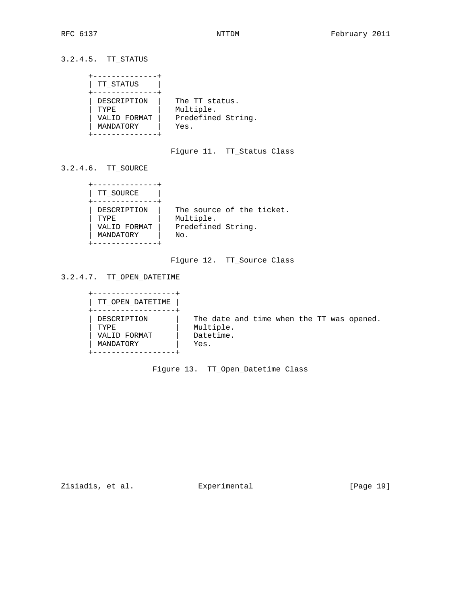3.2.4.5. TT\_STATUS

```
 +--------------+
     | TT_STATUS |
     +--------------+
    | DESCRIPTION | The TT status.
| TYPE | Multiple.
 | VALID FORMAT | Predefined String.
 | MANDATORY | Yes.
     +--------------+
```
Figure 11. TT\_Status Class

3.2.4.6. TT\_SOURCE

| TT SOURCE    |                           |
|--------------|---------------------------|
| DESCRIPTION  | The source of the ticket. |
| <b>TYPE</b>  | Multiple.                 |
| VALID FORMAT | Predefined String.        |
| MANDATORY    | No.                       |

# Figure 12. TT\_Source Class

3.2.4.7. TT\_OPEN\_DATETIME

| TT OPEN DATETIME                                  |                                                                             |  |
|---------------------------------------------------|-----------------------------------------------------------------------------|--|
| DESCRIPTION<br>TYPE.<br>VALID FORMAT<br>MANDATORY | The date and time when the TT was opened.<br>Multiple.<br>Datetime.<br>Yes. |  |

Figure 13. TT\_Open\_Datetime Class

Zisiadis, et al. Experimental [Page 19]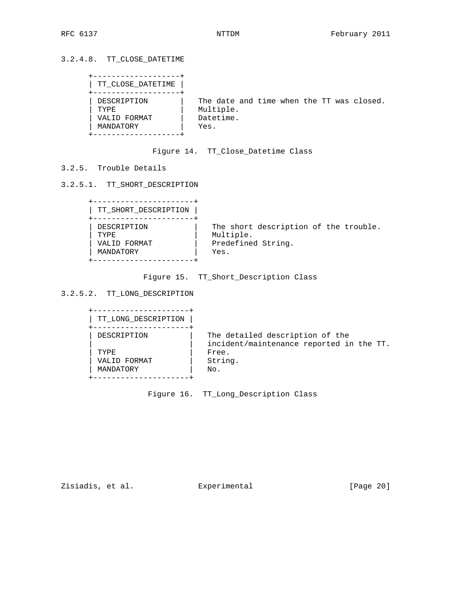# 3.2.4.8. TT\_CLOSE\_DATETIME

| TT_CLOSE_DATETIME                                 |      |                                                                     |  |  |  |
|---------------------------------------------------|------|---------------------------------------------------------------------|--|--|--|
| DESCRIPTION<br>TYPE.<br>VALID FORMAT<br>MANDATORY | Yes. | The date and time when the TT was closed.<br>Multiple.<br>Datetime. |  |  |  |

# Figure 14. TT\_Close\_Datetime Class

## 3.2.5. Trouble Details

## 3.2.5.1. TT\_SHORT\_DESCRIPTION

| TT SHORT DESCRIPTION |                                       |
|----------------------|---------------------------------------|
| DESCRIPTION          | The short description of the trouble. |
| TYPE.                | Multiple.                             |
| VALID FORMAT         | Predefined String.                    |
| MANDATORY            | Yes.                                  |

Figure 15. TT\_Short\_Description Class

# 3.2.5.2. TT\_LONG\_DESCRIPTION

| TT LONG DESCRIPTION |                                                                             |
|---------------------|-----------------------------------------------------------------------------|
| DESCRIPTION         | The detailed description of the<br>incident/maintenance reported in the TT. |
| <b>TYPE</b>         | Free.                                                                       |
| VALID FORMAT        | String.                                                                     |
| MANDATORY           | No.                                                                         |
|                     |                                                                             |

Figure 16. TT\_Long\_Description Class

Zisiadis, et al. Experimental [Page 20]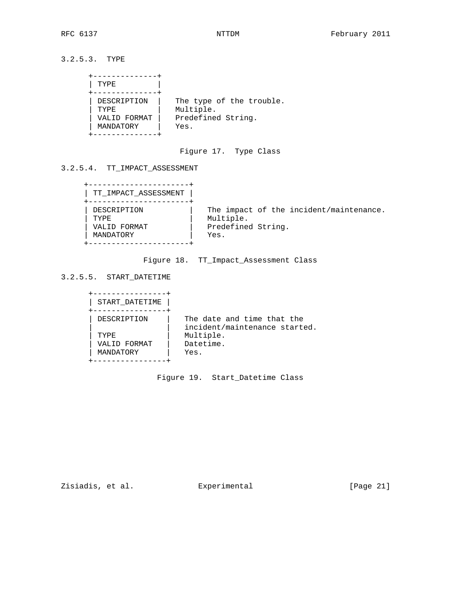3.2.5.3. TYPE

| TYPE                                                    |
|---------------------------------------------------------|
| DESCRIPTION<br><b>TYPE</b><br>VALID FORMAT<br>MANDATORY |

Figure 17. Type Class

3.2.5.4. TT\_IMPACT\_ASSESSMENT

| TT IMPACT ASSESSMENT |                                                      |
|----------------------|------------------------------------------------------|
| DESCRIPTION<br>TYPR. | The impact of the incident/maintenance.<br>Multiple. |
| VALID FORMAT         | Predefined String.                                   |
| MANDATORY            | Yes.                                                 |

Figure 18. TT\_Impact\_Assessment Class

3.2.5.5. START\_DATETIME

| START DATETIME |                               |
|----------------|-------------------------------|
|                |                               |
| DESCRIPTION    | The date and time that the    |
|                | incident/maintenance started. |
| TYPF.          | Multiple.                     |
| VALID FORMAT   | Datetime.                     |
|                |                               |
| MANDATORY      | Yes.                          |
|                |                               |
|                |                               |

Figure 19. Start\_Datetime Class

Zisiadis, et al. Experimental [Page 21]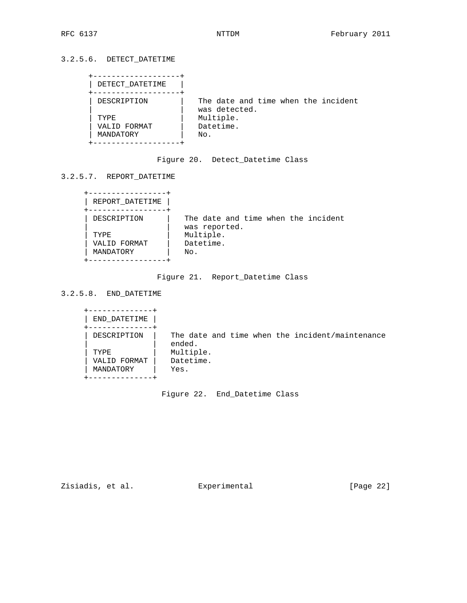# 3.2.5.6. DETECT\_DATETIME

| DETECT DATETIME |                                                      |
|-----------------|------------------------------------------------------|
| DESCRIPTION     | The date and time when the incident<br>was detected. |
| TYPE.           | Multiple.                                            |
| VALID FORMAT    | Datetime.                                            |
| MANDATORY       | No.                                                  |
|                 |                                                      |

# Figure 20. Detect\_Datetime Class

3.2.5.7. REPORT\_DATETIME

| REPORT DATETIME |                                     |  |  |  |
|-----------------|-------------------------------------|--|--|--|
| DESCRIPTION     | The date and time when the incident |  |  |  |
| TYPF.           | was reported.<br>Multiple.          |  |  |  |
| VALID FORMAT    | Datetime.                           |  |  |  |
| MANDATORY       | No.                                 |  |  |  |
|                 |                                     |  |  |  |

Figure 21. Report\_Datetime Class

3.2.5.8. END\_DATETIME

| END DATETIME |           |  |                                                 |
|--------------|-----------|--|-------------------------------------------------|
| DESCRIPTION  | ended.    |  | The date and time when the incident/maintenance |
| TYPE.        | Multiple. |  |                                                 |
| VALID FORMAT | Datetime. |  |                                                 |
| MANDATORY    | Yes.      |  |                                                 |
|              |           |  |                                                 |

Figure 22. End\_Datetime Class

Zisiadis, et al. Experimental [Page 22]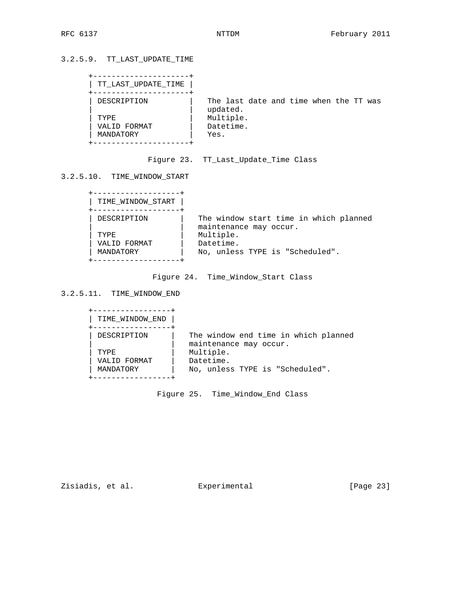# 3.2.5.9. TT\_LAST\_UPDATE\_TIME

| TT LAST UPDATE TIME |                                                    |
|---------------------|----------------------------------------------------|
| DESCRIPTION         | The last date and time when the TT was<br>updated. |
| TYPE.               | Multiple.                                          |
| VALID FORMAT        | Datetime.                                          |
| MANDATORY           | Yes.                                               |
|                     |                                                    |

# Figure 23. TT\_Last\_Update\_Time Class

3.2.5.10. TIME\_WINDOW\_START

| TIME WINDOW START |                                                                  |
|-------------------|------------------------------------------------------------------|
| DESCRIPTION       | The window start time in which planned<br>maintenance may occur. |
| TYPE.             | Multiple.                                                        |
| VALID FORMAT      | Datetime.                                                        |
| MANDATORY         | No, unless TYPE is "Scheduled".                                  |
|                   |                                                                  |

Figure 24. Time\_Window\_Start Class

3.2.5.11. TIME\_WINDOW\_END

| TIME_WINDOW_END |                                                                |
|-----------------|----------------------------------------------------------------|
| DESCRIPTION     | The window end time in which planned<br>maintenance may occur. |
| TYPE.           | Multiple.                                                      |
| VALID FORMAT    | Datetime.                                                      |
| MANDATORY       | No, unless TYPE is "Scheduled".                                |
|                 |                                                                |

Figure 25. Time\_Window\_End Class

Zisiadis, et al. Experimental [Page 23]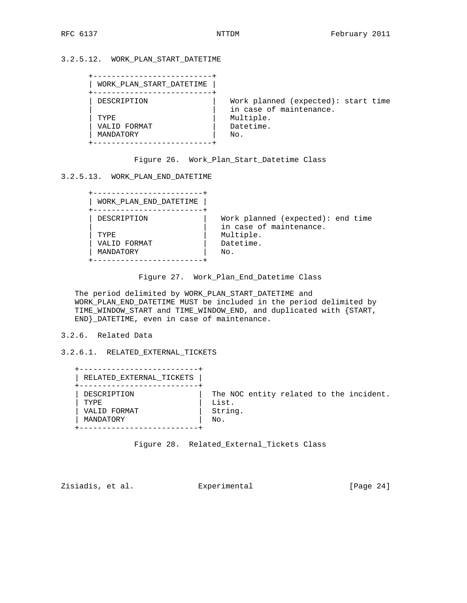3.2.5.12. WORK\_PLAN\_START\_DATETIME

| WORK PLAN START DATETIME |                                                                |
|--------------------------|----------------------------------------------------------------|
| DESCRIPTION              | Work planned (expected): start time<br>in case of maintenance. |
| TYPE.                    | Multiple.                                                      |
| VALID FORMAT             | Datetime.                                                      |
| MANDATORY                | No.                                                            |

|  | Figure 26. Work_Plan_Start_Datetime Class |  |
|--|-------------------------------------------|--|
|--|-------------------------------------------|--|

### 3.2.5.13. WORK\_PLAN\_END\_DATETIME

| WORK PLAN END DATETIME |                                                              |
|------------------------|--------------------------------------------------------------|
| DESCRIPTION            | Work planned (expected): end time<br>in case of maintenance. |
| TYPE.                  | Multiple.                                                    |
| VALID FORMAT           | Datetime.                                                    |
| MANDATORY              | No.                                                          |
|                        |                                                              |

```
 Figure 27. Work_Plan_End_Datetime Class
```
 The period delimited by WORK\_PLAN\_START\_DATETIME and WORK\_PLAN\_END\_DATETIME MUST be included in the period delimited by TIME\_WINDOW\_START and TIME\_WINDOW\_END, and duplicated with {START, END}\_DATETIME, even in case of maintenance.

### 3.2.6. Related Data

3.2.6.1. RELATED\_EXTERNAL\_TICKETS

| RELATED EXTERNAL TICKETS |                                         |
|--------------------------|-----------------------------------------|
| DESCRIPTION              | The NOC entity related to the incident. |
| TYPE.                    | List.                                   |
| VALID FORMAT             | String.                                 |
| MANDATORY                | No.                                     |

Figure 28. Related\_External\_Tickets Class

Zisiadis, et al. **Experimental** [Page 24]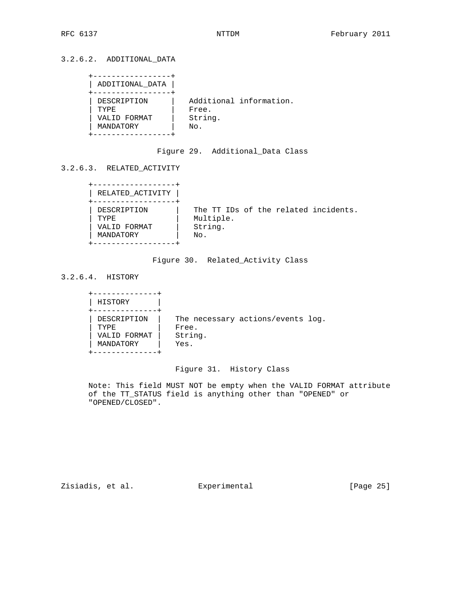| ADDITIONAL DATA |                         |
|-----------------|-------------------------|
| DESCRIPTION     | Additional information. |
| TYPR.           | Free.                   |
| VALID FORMAT    | String.                 |
| MANDATORY       | No.                     |

Figure 29. Additional\_Data Class

# 3.2.6.3. RELATED\_ACTIVITY

| RELATED_ACTIVITY |                                      |
|------------------|--------------------------------------|
| DESCRIPTION      | The TT IDs of the related incidents. |
| TYPE.            | Multiple.                            |
| VALID FORMAT     | String.                              |
| MANDATORY        | No.                                  |

## Figure 30. Related\_Activity Class

3.2.6.4. HISTORY

| HISTORY                                                 |                                                               |  |
|---------------------------------------------------------|---------------------------------------------------------------|--|
| DESCRIPTION<br><b>TYPE</b><br>VALID FORMAT<br>MANDATORY | The necessary actions/events log.<br>Free.<br>String.<br>Yes. |  |

# Figure 31. History Class

 Note: This field MUST NOT be empty when the VALID FORMAT attribute of the TT\_STATUS field is anything other than "OPENED" or "OPENED/CLOSED".

Zisiadis, et al. Experimental [Page 25]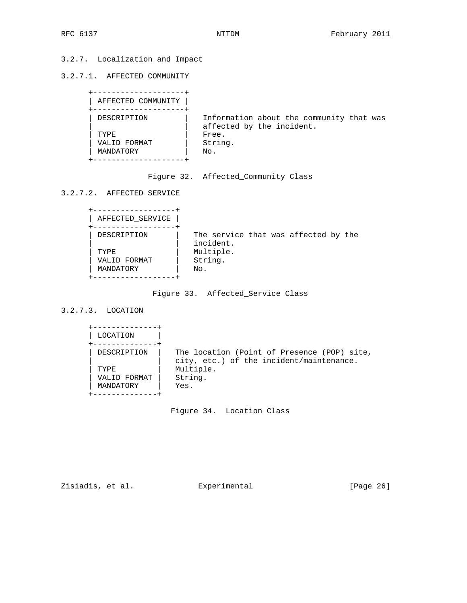# 3.2.7. Localization and Impact

3.2.7.1. AFFECTED\_COMMUNITY

| AFFECTED COMMUNITY |                                          |
|--------------------|------------------------------------------|
|                    |                                          |
| DESCRIPTION        | Information about the community that was |
|                    | affected by the incident.                |
| TYPE.              | Free.                                    |
| VALID FORMAT       | String.                                  |
| MANDATORY          | No.                                      |
|                    |                                          |

|  | Figure 32. Affected_Community Class |
|--|-------------------------------------|
|--|-------------------------------------|

3.2.7.2. AFFECTED\_SERVICE

| AFFECTED_SERVICE |                                                   |  |  |  |
|------------------|---------------------------------------------------|--|--|--|
| DESCRIPTION      | The service that was affected by the<br>incident. |  |  |  |
| TYPF.            | Multiple.                                         |  |  |  |
| VALID FORMAT     | String.                                           |  |  |  |
| MANDATORY        | No.                                               |  |  |  |
|                  |                                                   |  |  |  |

Figure 33. Affected\_Service Class

# 3.2.7.3. LOCATION

| LOCATION                  |                                                                                                      |
|---------------------------|------------------------------------------------------------------------------------------------------|
| DESCRIPTION<br>TYPE.      | The location (Point of Presence (POP) site,<br>city, etc.) of the incident/maintenance.<br>Multiple. |
| VALID FORMAT<br>MANDATORY | String.<br>Yes.                                                                                      |

Figure 34. Location Class

Zisiadis, et al. Experimental [Page 26]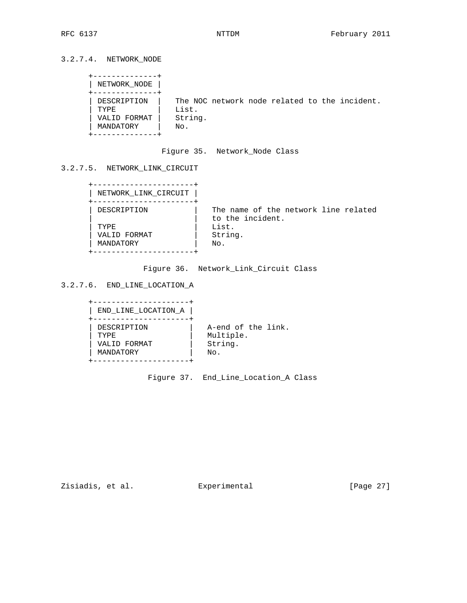3.2.7.4. NETWORK\_NODE

```
 +--------------+
      | NETWORK_NODE |
     +--------------+
     | DESCRIPTION | The NOC network node related to the incident.
| TYPE | List.
 | VALID FORMAT | String.
 | MANDATORY | No.
     +--------------+
```
Figure 35. Network\_Node Class

# 3.2.7.5. NETWORK\_LINK\_CIRCUIT

| NETWORK LINK CIRCUIT |                                                          |
|----------------------|----------------------------------------------------------|
| DESCRIPTION          | The name of the network line related<br>to the incident. |
| TYPE.                | List.                                                    |
| VALID FORMAT         | String.                                                  |
| MANDATORY            | No.                                                      |

Figure 36. Network\_Link\_Circuit Class

```
3.2.7.6. END_LINE_LOCATION_A
```

| END LINE LOCATION A |                    |
|---------------------|--------------------|
| DESCRIPTION         | A-end of the link. |
| <b>TYPE</b>         | Multiple.          |
| VALID FORMAT        | String.            |
| MANDATORY           | No.                |

Figure 37. End\_Line\_Location\_A Class

Zisiadis, et al. Experimental [Page 27]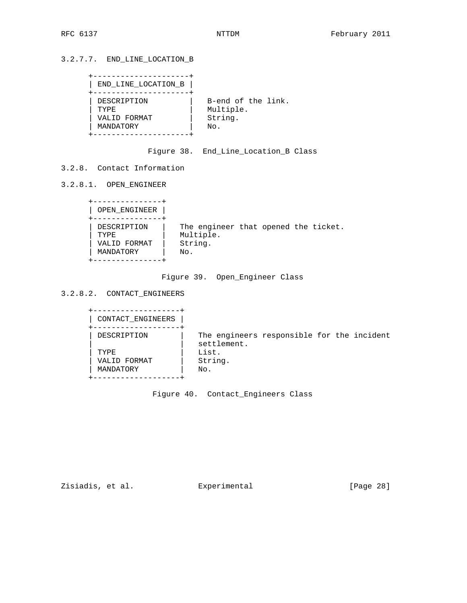3.2.7.7. END\_LINE\_LOCATION\_B

| END_LINE_LOCATION_B |                    |
|---------------------|--------------------|
| DESCRIPTION         | B-end of the link. |
| TYPF.               | Multiple.          |
| VALID FORMAT        | String.            |
| MANDATORY           | No.                |

Figure 38. End\_Line\_Location\_B Class

3.2.8. Contact Information

3.2.8.1. OPEN\_ENGINEER

| OPEN ENGINEER                                    |                                                                     |  |  |
|--------------------------------------------------|---------------------------------------------------------------------|--|--|
| DESCRIPTION<br>TYPE<br>VALID FORMAT<br>MANDATORY | The engineer that opened the ticket.<br>Multiple.<br>String.<br>No. |  |  |

# Figure 39. Open\_Engineer Class

3.2.8.2. CONTACT\_ENGINEERS

| CONTACT ENGINEERS |                                                           |  |  |
|-------------------|-----------------------------------------------------------|--|--|
| DESCRIPTION       | The engineers responsible for the incident<br>settlement. |  |  |
| TYPE.             | List.                                                     |  |  |
| VALID FORMAT      | String.                                                   |  |  |
| MANDATORY         | No.                                                       |  |  |

Figure 40. Contact\_Engineers Class

Zisiadis, et al. Experimental [Page 28]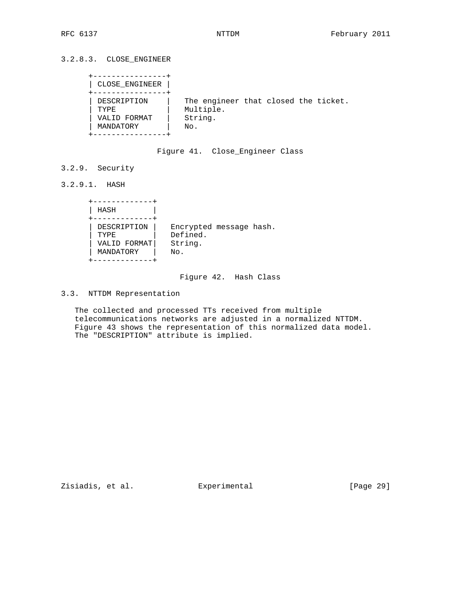| CLOSE ENGINEER                                          |                                                                     |  |  |
|---------------------------------------------------------|---------------------------------------------------------------------|--|--|
| DESCRIPTION<br><b>TYPE</b><br>VALID FORMAT<br>MANDATORY | The engineer that closed the ticket.<br>Multiple.<br>String.<br>No. |  |  |

## Figure 41. Close\_Engineer Class

3.2.9. Security

3.2.9.1. HASH

| HASH         |                         |
|--------------|-------------------------|
| DESCRIPTION  | Encrypted message hash. |
| TYPE         | Defined.                |
| VALID FORMAT | String.                 |
| MANDATORY    | No.                     |

## Figure 42. Hash Class

3.3. NTTDM Representation

 The collected and processed TTs received from multiple telecommunications networks are adjusted in a normalized NTTDM. Figure 43 shows the representation of this normalized data model. The "DESCRIPTION" attribute is implied.

Zisiadis, et al. Experimental [Page 29]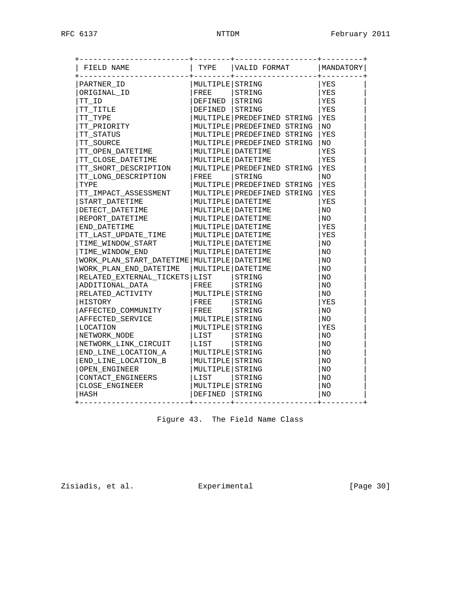| FIELD NAME                                 | TYPE                | VALID FORMAT                 | MANDATORY |
|--------------------------------------------|---------------------|------------------------------|-----------|
| PARTNER ID                                 | MULTIPLE STRING     |                              | YES       |
| ORIGINAL ID                                | FREE                | STRING                       | YES       |
| TT ID                                      | DEFINED             | STRING                       | YES       |
| TT TITLE                                   | DEFINED STRING      |                              | YES       |
| TT TYPE                                    |                     | MULTIPLE PREDEFINED STRING   | YES       |
| TT PRIORITY                                |                     | MULTIPLE PREDEFINED STRING   | NO.       |
| TT STATUS                                  |                     | MULTIPLE PREDEFINED STRING   | YES       |
| TT SOURCE                                  |                     | MULTIPLE PREDEFINED STRING   | NO.       |
| TT OPEN DATETIME                           |                     | MULTIPLE DATETIME            | YES       |
| TT CLOSE DATETIME                          |                     | MULTIPLE   DATETIME          | YES       |
| TT SHORT DESCRIPTION                       |                     | MULTIPLE   PREDEFINED STRING | YES       |
| TT LONG DESCRIPTION                        | FREE                | STRING                       | NO.       |
| TYPE                                       |                     | MULTIPLE PREDEFINED STRING   | YES       |
| TT IMPACT ASSESSMENT                       |                     | MULTIPLE PREDEFINED STRING   | YES       |
| START DATETIME                             |                     | MULTIPLE   DATETIME          | YES       |
| DETECT DATETIME                            |                     | MULTIPLE DATETIME            | NO.       |
| REPORT_DATETIME                            |                     | MULTIPLE   DATETIME          | NO.       |
| END DATETIME                               |                     | MULTIPLE DATETIME            | YES       |
| TT LAST UPDATE TIME                        |                     | MULTIPLE DATETIME            | YES       |
| TIME_WINDOW_START                          |                     | MULTIPLE DATETIME            | NO.       |
| TIME WINDOW END                            |                     | MULTIPLE   DATETIME          | NO.       |
| WORK PLAN START DATETIME MULTIPLE DATETIME |                     |                              | NO.       |
| WORK PLAN END DATETIME                     | MULTIPLE   DATETIME |                              | NO.       |
| RELATED_EXTERNAL_TICKETS LIST              |                     | STRING                       | NO        |
| ADDITIONAL_DATA                            | FREE                | STRING                       | NO.       |
| RELATED ACTIVITY                           | MULTIPLE STRING     |                              | NO.       |
| HISTORY                                    | FREE                | STRING                       | YES       |
| AFFECTED COMMUNITY                         | FREE                | STRING                       | NO.       |
| AFFECTED SERVICE                           | MULTIPLE STRING     |                              | NO.       |
| LOCATION                                   | MULTIPLE STRING     |                              | YES       |
| NETWORK NODE                               | LIST                | STRING                       | NO.       |
| NETWORK LINK CIRCUIT                       | LIST                | STRING                       | NO.       |
| END LINE LOCATION A                        | MULTIPLE STRING     |                              | NO.       |
| END LINE LOCATION B                        | MULTIPLE STRING     |                              | NO        |
| OPEN ENGINEER                              | MULTIPLE STRING     |                              | NO.       |
| CONTACT_ENGINEERS                          | LIST                | STRING                       | NO        |
| CLOSE ENGINEER                             | MULTIPLE STRING     |                              | NO        |
| HASH                                       | DEFINED STRING      |                              | NO        |

Figure 43. The Field Name Class

Zisiadis, et al. Experimental [Page 30]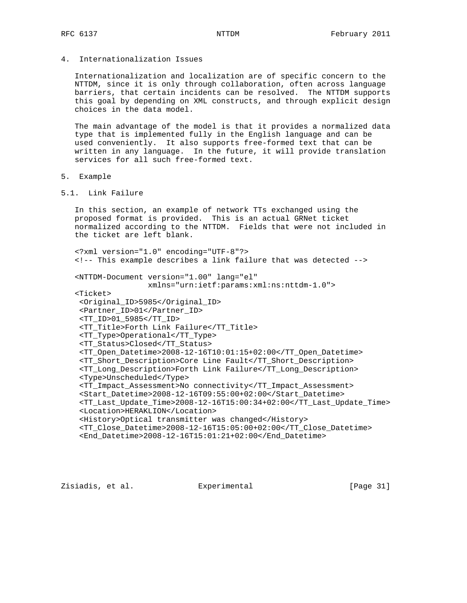4. Internationalization Issues

 Internationalization and localization are of specific concern to the NTTDM, since it is only through collaboration, often across language barriers, that certain incidents can be resolved. The NTTDM supports this goal by depending on XML constructs, and through explicit design choices in the data model.

 The main advantage of the model is that it provides a normalized data type that is implemented fully in the English language and can be used conveniently. It also supports free-formed text that can be written in any language. In the future, it will provide translation services for all such free-formed text.

- 5. Example
- 5.1. Link Failure

 In this section, an example of network TTs exchanged using the proposed format is provided. This is an actual GRNet ticket normalized according to the NTTDM. Fields that were not included in the ticket are left blank.

 <?xml version="1.0" encoding="UTF-8"?> <!-- This example describes a link failure that was detected -->

 <NTTDM-Document version="1.00" lang="el" xmlns="urn:ietf:params:xml:ns:nttdm-1.0">

 <Ticket> <Original\_ID>5985</Original\_ID> <Partner\_ID>01</Partner\_ID> <TT\_ID>01\_5985</TT\_ID> <TT\_Title>Forth Link Failure</TT\_Title> <TT\_Type>Operational</TT\_Type> <TT\_Status>Closed</TT\_Status> <TT\_Open\_Datetime>2008-12-16T10:01:15+02:00</TT\_Open\_Datetime> <TT\_Short\_Description>Core Line Fault</TT\_Short\_Description> <TT\_Long\_Description>Forth Link Failure</TT\_Long\_Description> <Type>Unscheduled</Type> <TT\_Impact\_Assessment>No connectivity</TT\_Impact\_Assessment> <Start\_Datetime>2008-12-16T09:55:00+02:00</Start\_Datetime> <TT\_Last\_Update\_Time>2008-12-16T15:00:34+02:00</TT\_Last\_Update\_Time> <Location>HERAKLION</Location> <History>Optical transmitter was changed</History> <TT\_Close\_Datetime>2008-12-16T15:05:00+02:00</TT\_Close\_Datetime> <End\_Datetime>2008-12-16T15:01:21+02:00</End\_Datetime>

Zisiadis, et al. Experimental [Page 31]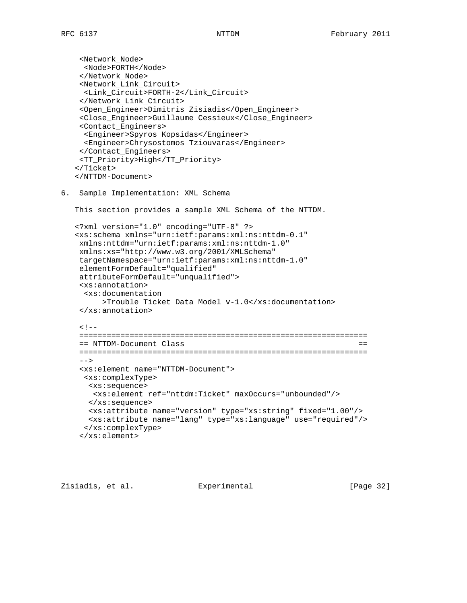```
 <Network_Node>
     <Node>FORTH</Node>
     </Network_Node>
     <Network_Link_Circuit>
     <Link_Circuit>FORTH-2</Link_Circuit>
     </Network_Link_Circuit>
     <Open_Engineer>Dimitris Zisiadis</Open_Engineer>
     <Close_Engineer>Guillaume Cessieux</Close_Engineer>
     <Contact_Engineers>
     <Engineer>Spyros Kopsidas</Engineer>
     <Engineer>Chrysostomos Tziouvaras</Engineer>
     </Contact_Engineers>
     <TT_Priority>High</TT_Priority>
    </Ticket>
    </NTTDM-Document>
6. Sample Implementation: XML Schema
   This section provides a sample XML Schema of the NTTDM.
    <?xml version="1.0" encoding="UTF-8" ?>
    <xs:schema xmlns="urn:ietf:params:xml:ns:nttdm-0.1"
    xmlns:nttdm="urn:ietf:params:xml:ns:nttdm-1.0"
    xmlns:xs="http://www.w3.org/2001/XMLSchema"
    targetNamespace="urn:ietf:params:xml:ns:nttdm-1.0"
    elementFormDefault="qualified"
    attributeFormDefault="unqualified">
    <xs:annotation>
     <xs:documentation
          >Trouble Ticket Data Model v-1.0</xs:documentation>
     </xs:annotation>
    \lt ! --- ===============================================================
    == NTTDM-Document Class ==
    ===============================================================
    --&> <xs:element name="NTTDM-Document">
     <xs:complexType>
      <xs:sequence>
       <xs:element ref="nttdm:Ticket" maxOccurs="unbounded"/>
      </xs:sequence>
      <xs:attribute name="version" type="xs:string" fixed="1.00"/>
      <xs:attribute name="lang" type="xs:language" use="required"/>
      </xs:complexType>
     </xs:element>
```
Zisiadis, et al. Experimental [Page 32]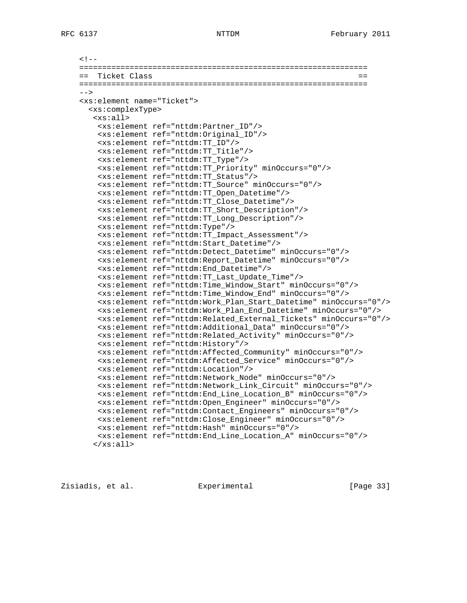```
<! -- ===============================================================
 == Ticket Class ==
 ===============================================================
 -->
 <xs:element name="Ticket">
  <xs:complexType>
   <xs:all>
    <xs:element ref="nttdm:Partner_ID"/>
    <xs:element ref="nttdm:Original_ID"/>
     <xs:element ref="nttdm:TT_ID"/>
     <xs:element ref="nttdm:TT_Title"/>
     <xs:element ref="nttdm:TT_Type"/>
     <xs:element ref="nttdm:TT_Priority" minOccurs="0"/>
     <xs:element ref="nttdm:TT_Status"/>
     <xs:element ref="nttdm:TT_Source" minOccurs="0"/>
     <xs:element ref="nttdm:TT_Open_Datetime"/>
     <xs:element ref="nttdm:TT_Close_Datetime"/>
     <xs:element ref="nttdm:TT_Short_Description"/>
     <xs:element ref="nttdm:TT_Long_Description"/>
     <xs:element ref="nttdm:Type"/>
     <xs:element ref="nttdm:TT_Impact_Assessment"/>
     <xs:element ref="nttdm:Start_Datetime"/>
     <xs:element ref="nttdm:Detect_Datetime" minOccurs="0"/>
     <xs:element ref="nttdm:Report_Datetime" minOccurs="0"/>
     <xs:element ref="nttdm:End_Datetime"/>
     <xs:element ref="nttdm:TT_Last_Update_Time"/>
     <xs:element ref="nttdm:Time_Window_Start" minOccurs="0"/>
     <xs:element ref="nttdm:Time_Window_End" minOccurs="0"/>
     <xs:element ref="nttdm:Work_Plan_Start_Datetime" minOccurs="0"/>
     <xs:element ref="nttdm:Work_Plan_End_Datetime" minOccurs="0"/>
     <xs:element ref="nttdm:Related_External_Tickets" minOccurs="0"/>
     <xs:element ref="nttdm:Additional_Data" minOccurs="0"/>
     <xs:element ref="nttdm:Related_Activity" minOccurs="0"/>
     <xs:element ref="nttdm:History"/>
     <xs:element ref="nttdm:Affected_Community" minOccurs="0"/>
     <xs:element ref="nttdm:Affected_Service" minOccurs="0"/>
     <xs:element ref="nttdm:Location"/>
     <xs:element ref="nttdm:Network_Node" minOccurs="0"/>
     <xs:element ref="nttdm:Network_Link_Circuit" minOccurs="0"/>
     <xs:element ref="nttdm:End_Line_Location_B" minOccurs="0"/>
     <xs:element ref="nttdm:Open_Engineer" minOccurs="0"/>
     <xs:element ref="nttdm:Contact_Engineers" minOccurs="0"/>
     <xs:element ref="nttdm:Close_Engineer" minOccurs="0"/>
     <xs:element ref="nttdm:Hash" minOccurs="0"/>
     <xs:element ref="nttdm:End_Line_Location_A" minOccurs="0"/>
   \langle x s : \text{all} \rangle
```
Zisiadis, et al. Experimental [Page 33]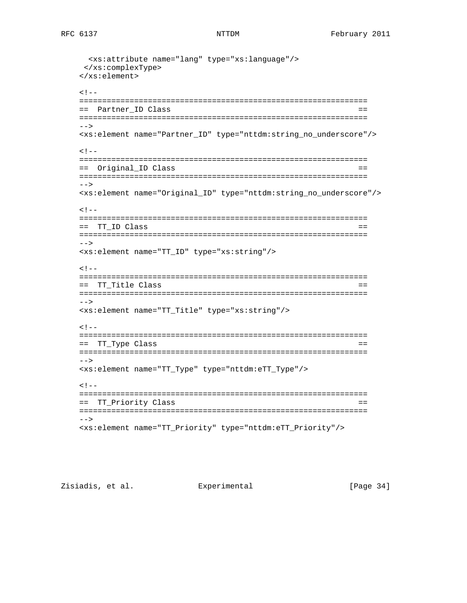```
 <xs:attribute name="lang" type="xs:language"/>
  </xs:complexType>
 </xs:element>
< ! -- ===============================================================
 == Partner_ID Class ==
 ===============================================================
--> <xs:element name="Partner_ID" type="nttdm:string_no_underscore"/>
<! -- ===============================================================
 == Original_ID Class ==
 ===============================================================
--&> <xs:element name="Original_ID" type="nttdm:string_no_underscore"/>
<! - ===============================================================
= TT_ID Class = ===============================================================
--> <xs:element name="TT_ID" type="xs:string"/>
< ! -- ===============================================================
 == TT_Title Class ==
 ===============================================================
--&> <xs:element name="TT_Title" type="xs:string"/>
\lt ! --- ===============================================================
== TT_Type Class ==
 ===============================================================
 -->
 <xs:element name="TT_Type" type="nttdm:eTT_Type"/>
< ! -- ===============================================================
 == TT_Priority Class ==
 ===============================================================
 -->
 <xs:element name="TT_Priority" type="nttdm:eTT_Priority"/>
```
Zisiadis, et al. Experimental [Page 34]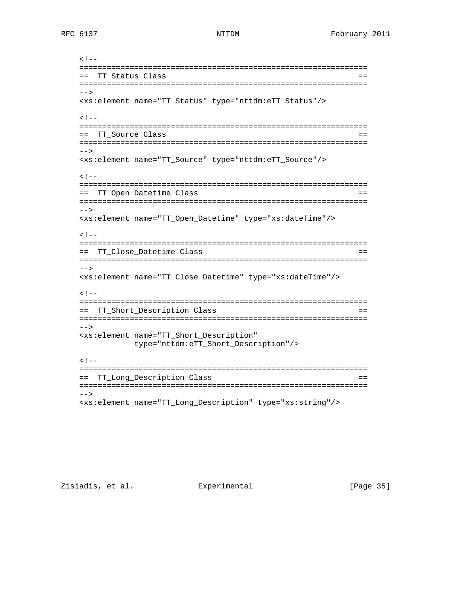```
<! - ===============================================================
 == TT_Status Class ==
 ===============================================================
--&> <xs:element name="TT_Status" type="nttdm:eTT_Status"/>
\lt ! -- ===============================================================
 == TT_Source Class ==
 ===============================================================
--&> <xs:element name="TT_Source" type="nttdm:eTT_Source"/>
\lt ! --- ===============================================================
 == TT_Open_Datetime Class ==
 ===============================================================
--&> <xs:element name="TT_Open_Datetime" type="xs:dateTime"/>
\lt ! - ===============================================================
 == TT_Close_Datetime Class ==
 ===============================================================
 -->
 <xs:element name="TT_Close_Datetime" type="xs:dateTime"/>
<! ===============================================================
 == TT_Short_Description Class ==
 ===============================================================
--&> <xs:element name="TT_Short_Description"
           type="nttdm:eTT_Short_Description"/>
< ! -- ===============================================================
 == TT_Long_Description Class ==
 ===============================================================
 -->
 <xs:element name="TT_Long_Description" type="xs:string"/>
```
Zisiadis, et al. Experimental [Page 35]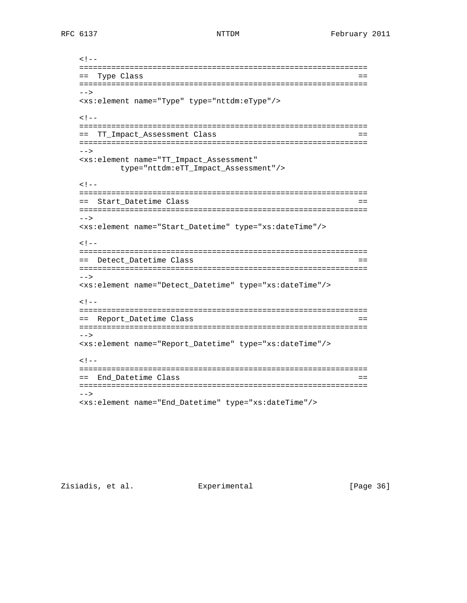```
<!- - ===============================================================
 == Type Class ==
 ===============================================================
--&> <xs:element name="Type" type="nttdm:eType"/>
\lt ! -- ===============================================================
 == TT_Impact_Assessment Class ==
 ===============================================================
--&> <xs:element name="TT_Impact_Assessment"
        type="nttdm:eTT_Impact_Assessment"/>
< ! -- ===============================================================
 == Start_Datetime Class ==
 ===============================================================
 -->
 <xs:element name="Start_Datetime" type="xs:dateTime"/>
< ! -- ===============================================================
 == Detect_Datetime Class ==
 ===============================================================
 -->
 <xs:element name="Detect_Datetime" type="xs:dateTime"/>
< 1 - - ===============================================================
 == Report_Datetime Class ==
 ===============================================================
--&> <xs:element name="Report_Datetime" type="xs:dateTime"/>
<! - ===============================================================
 == End_Datetime Class ==
 ===============================================================
 -->
 <xs:element name="End_Datetime" type="xs:dateTime"/>
```
Zisiadis, et al. Experimental [Page 36]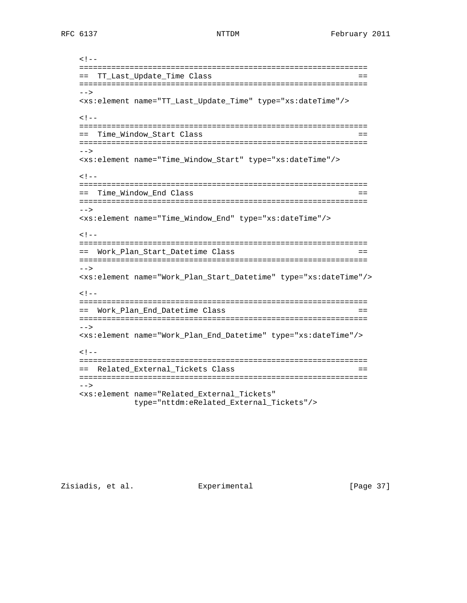$<$ !  $-$  =============================================================== == TT\_Last\_Update\_Time Class == ===============================================================  $--&>$  <xs:element name="TT\_Last\_Update\_Time" type="xs:dateTime"/>  $<$  !  $--$  =============================================================== == Time\_Window\_Start Class == ===============================================================  $--&>$  <xs:element name="Time\_Window\_Start" type="xs:dateTime"/>  $\lt$  !  $---$  =============================================================== == Time\_Window\_End Class == ===============================================================  $--&>$  <xs:element name="Time\_Window\_End" type="xs:dateTime"/>  $$  =============================================================== == Work\_Plan\_Start\_Datetime Class == =============================================================== --> <xs:element name="Work\_Plan\_Start\_Datetime" type="xs:dateTime"/>  $$  =============================================================== == Work\_Plan\_End\_Datetime Class == ===============================================================  $--&>$  <xs:element name="Work\_Plan\_End\_Datetime" type="xs:dateTime"/>  $< 1 - -$  =============================================================== == Related\_External\_Tickets Class == ===============================================================  $--&>$  <xs:element name="Related\_External\_Tickets" type="nttdm:eRelated\_External\_Tickets"/>

Zisiadis, et al. Experimental [Page 37]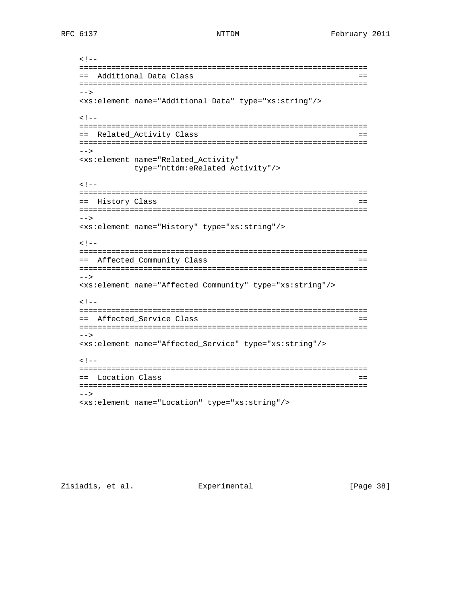```
<! - ===============================================================
 == Additional_Data Class ==
 ===============================================================
--&> <xs:element name="Additional_Data" type="xs:string"/>
< ! -- ===============================================================
 == Related_Activity Class ==
 ===============================================================
--&> <xs:element name="Related_Activity"
       type="nttdm:eRelated_Activity"/>
< ! -- ===============================================================
 == History Class ==
 ===============================================================
--&> <xs:element name="History" type="xs:string"/>
< ! -- ===============================================================
 == Affected_Community Class ==
 ===============================================================
 -->
 <xs:element name="Affected_Community" type="xs:string"/>
< 1 - - ===============================================================
 == Affected_Service Class ==
 ===============================================================
--&> <xs:element name="Affected_Service" type="xs:string"/>
<! - ===============================================================
 == Location Class ==
 ===============================================================
 -->
 <xs:element name="Location" type="xs:string"/>
```
Zisiadis, et al. Experimental [Page 38]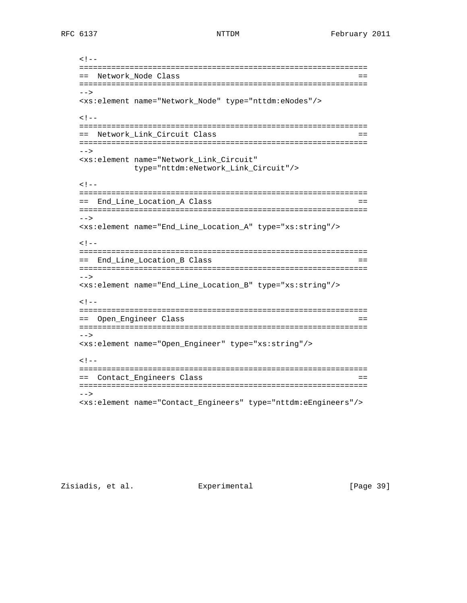$$  =============================================================== == Network\_Node Class == ===============================================================  $--&>$  <xs:element name="Network\_Node" type="nttdm:eNodes"/>  $<$  !  $--$  =============================================================== == Network\_Link\_Circuit Class == ===============================================================  $--&>$  <xs:element name="Network\_Link\_Circuit" type="nttdm:eNetwork\_Link\_Circuit"/>  $<$  !  $--$  =============================================================== == End\_Line\_Location\_A Class == =============================================================== --> <xs:element name="End\_Line\_Location\_A" type="xs:string"/>  $<$  !  $--$  =============================================================== == End\_Line\_Location\_B Class == =============================================================== --> <xs:element name="End\_Line\_Location\_B" type="xs:string"/>  $< 1 - -$  =============================================================== == Open\_Engineer Class == ===============================================================  $-->$  <xs:element name="Open\_Engineer" type="xs:string"/>  $<$ !  $-$  =============================================================== == Contact\_Engineers Class == =============================================================== --> <xs:element name="Contact\_Engineers" type="nttdm:eEngineers"/>

Zisiadis, et al. Experimental [Page 39]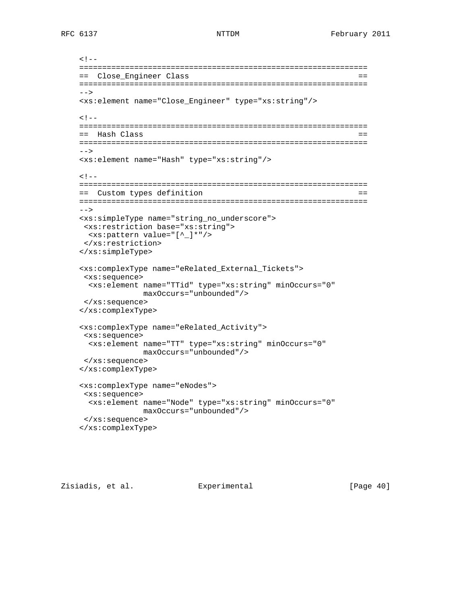```
<! - ===============================================================
 == Close_Engineer Class ==
 ===============================================================
--&> <xs:element name="Close_Engineer" type="xs:string"/>
< ! -- ===============================================================
 == Hash Class ==
 ===============================================================
--&> <xs:element name="Hash" type="xs:string"/>
\lt ! --- ===============================================================
 == Custom types definition ==
 ===============================================================
--&> <xs:simpleType name="string_no_underscore">
 <xs:restriction base="xs:string">
  <xs:pattern value="[^_]*"/>
 </xs:restriction>
 </xs:simpleType>
 <xs:complexType name="eRelated_External_Tickets">
  <xs:sequence>
   <xs:element name="TTid" type="xs:string" minOccurs="0"
             maxOccurs="unbounded"/>
 </xs:sequence>
 </xs:complexType>
 <xs:complexType name="eRelated_Activity">
 <xs:sequence>
  <xs:element name="TT" type="xs:string" minOccurs="0"
              maxOccurs="unbounded"/>
 </xs:sequence>
 </xs:complexType>
 <xs:complexType name="eNodes">
 <xs:sequence>
  <xs:element name="Node" type="xs:string" minOccurs="0"
              maxOccurs="unbounded"/>
  </xs:sequence>
 </xs:complexType>
```
Zisiadis, et al. Experimental [Page 40]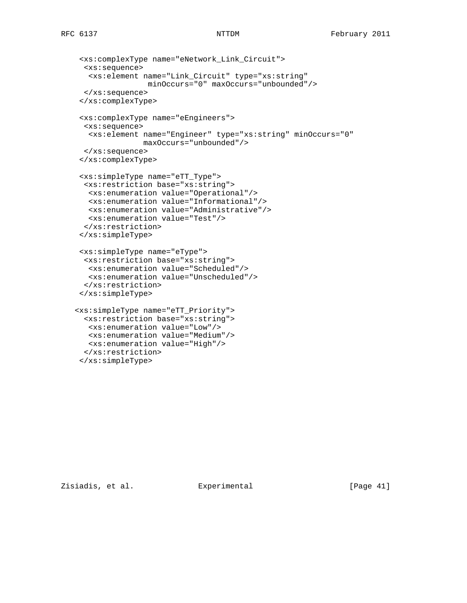## RFC 6137 NTTDM NTTDM February 2011

```
 <xs:complexType name="eNetwork_Link_Circuit">
   <xs:sequence>
    <xs:element name="Link_Circuit" type="xs:string"
                 minOccurs="0" maxOccurs="unbounded"/>
  </xs:sequence>
  </xs:complexType>
  <xs:complexType name="eEngineers">
  <xs:sequence>
   <xs:element name="Engineer" type="xs:string" minOccurs="0"
               maxOccurs="unbounded"/>
  </xs:sequence>
  </xs:complexType>
  <xs:simpleType name="eTT_Type">
  <xs:restriction base="xs:string">
   <xs:enumeration value="Operational"/>
   <xs:enumeration value="Informational"/>
   <xs:enumeration value="Administrative"/>
   <xs:enumeration value="Test"/>
   </xs:restriction>
  </xs:simpleType>
  <xs:simpleType name="eType">
  <xs:restriction base="xs:string">
   <xs:enumeration value="Scheduled"/>
   <xs:enumeration value="Unscheduled"/>
  </xs:restriction>
  </xs:simpleType>
 <xs:simpleType name="eTT_Priority">
  <xs:restriction base="xs:string">
   <xs:enumeration value="Low"/>
   <xs:enumeration value="Medium"/>
   <xs:enumeration value="High"/>
  </xs:restriction>
```
</xs:simpleType>

Zisiadis, et al. Experimental [Page 41]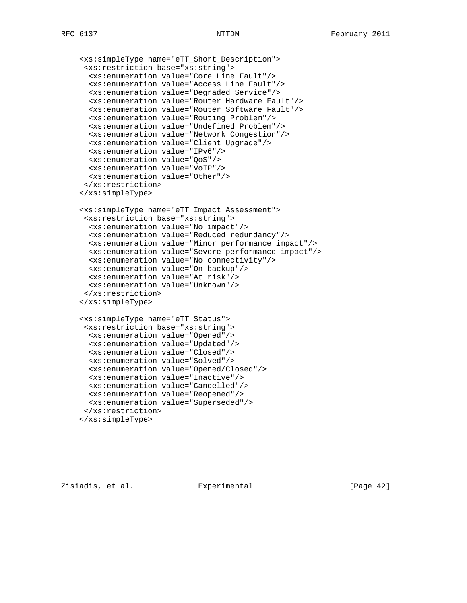```
 <xs:simpleType name="eTT_Short_Description">
  <xs:restriction base="xs:string">
   <xs:enumeration value="Core Line Fault"/>
  <xs:enumeration value="Access Line Fault"/>
   <xs:enumeration value="Degraded Service"/>
   <xs:enumeration value="Router Hardware Fault"/>
  <xs:enumeration value="Router Software Fault"/>
   <xs:enumeration value="Routing Problem"/>
   <xs:enumeration value="Undefined Problem"/>
  <xs:enumeration value="Network Congestion"/>
   <xs:enumeration value="Client Upgrade"/>
   <xs:enumeration value="IPv6"/>
   <xs:enumeration value="QoS"/>
  <xs:enumeration value="VoIP"/>
  <xs:enumeration value="Other"/>
  </xs:restriction>
 </xs:simpleType>
 <xs:simpleType name="eTT_Impact_Assessment">
  <xs:restriction base="xs:string">
  <xs:enumeration value="No impact"/>
  <xs:enumeration value="Reduced redundancy"/>
   <xs:enumeration value="Minor performance impact"/>
   <xs:enumeration value="Severe performance impact"/>
   <xs:enumeration value="No connectivity"/>
   <xs:enumeration value="On backup"/>
  <xs:enumeration value="At risk"/>
  <xs:enumeration value="Unknown"/>
  </xs:restriction>
 </xs:simpleType>
 <xs:simpleType name="eTT_Status">
  <xs:restriction base="xs:string">
  <xs:enumeration value="Opened"/>
  <xs:enumeration value="Updated"/>
   <xs:enumeration value="Closed"/>
   <xs:enumeration value="Solved"/>
   <xs:enumeration value="Opened/Closed"/>
   <xs:enumeration value="Inactive"/>
  <xs:enumeration value="Cancelled"/>
  <xs:enumeration value="Reopened"/>
  <xs:enumeration value="Superseded"/>
  </xs:restriction>
 </xs:simpleType>
```
Zisiadis, et al. Experimental [Page 42]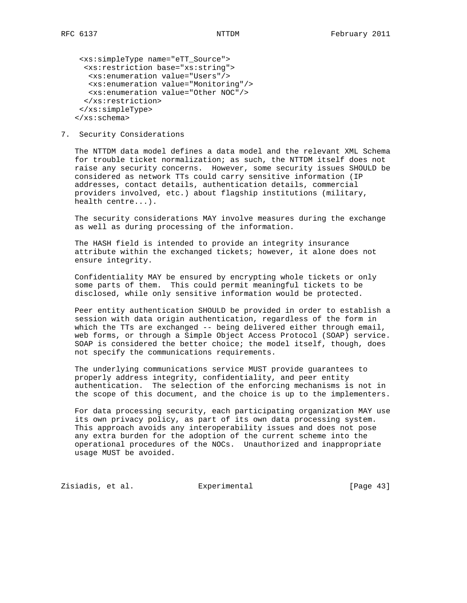<xs:simpleType name="eTT\_Source"> <xs:restriction base="xs:string"> <xs:enumeration value="Users"/> <xs:enumeration value="Monitoring"/> <xs:enumeration value="Other NOC"/> </xs:restriction> </xs:simpleType> </xs:schema>

7. Security Considerations

 The NTTDM data model defines a data model and the relevant XML Schema for trouble ticket normalization; as such, the NTTDM itself does not raise any security concerns. However, some security issues SHOULD be considered as network TTs could carry sensitive information (IP addresses, contact details, authentication details, commercial providers involved, etc.) about flagship institutions (military, health centre...).

 The security considerations MAY involve measures during the exchange as well as during processing of the information.

 The HASH field is intended to provide an integrity insurance attribute within the exchanged tickets; however, it alone does not ensure integrity.

 Confidentiality MAY be ensured by encrypting whole tickets or only some parts of them. This could permit meaningful tickets to be disclosed, while only sensitive information would be protected.

 Peer entity authentication SHOULD be provided in order to establish a session with data origin authentication, regardless of the form in which the TTs are exchanged -- being delivered either through email, web forms, or through a Simple Object Access Protocol (SOAP) service. SOAP is considered the better choice; the model itself, though, does not specify the communications requirements.

 The underlying communications service MUST provide guarantees to properly address integrity, confidentiality, and peer entity authentication. The selection of the enforcing mechanisms is not in the scope of this document, and the choice is up to the implementers.

 For data processing security, each participating organization MAY use its own privacy policy, as part of its own data processing system. This approach avoids any interoperability issues and does not pose any extra burden for the adoption of the current scheme into the operational procedures of the NOCs. Unauthorized and inappropriate usage MUST be avoided.

Zisiadis, et al. Experimental [Page 43]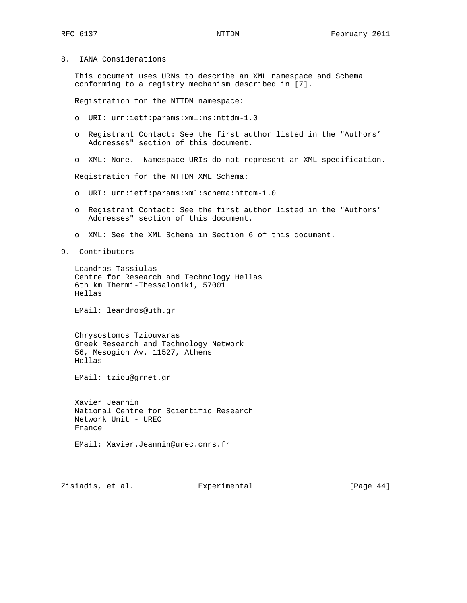8. IANA Considerations

 This document uses URNs to describe an XML namespace and Schema conforming to a registry mechanism described in [7].

Registration for the NTTDM namespace:

- o URI: urn:ietf:params:xml:ns:nttdm-1.0
- o Registrant Contact: See the first author listed in the "Authors' Addresses" section of this document.
- o XML: None. Namespace URIs do not represent an XML specification.

Registration for the NTTDM XML Schema:

- o URI: urn:ietf:params:xml:schema:nttdm-1.0
- o Registrant Contact: See the first author listed in the "Authors' Addresses" section of this document.
- o XML: See the XML Schema in Section 6 of this document.
- 9. Contributors

 Leandros Tassiulas Centre for Research and Technology Hellas 6th km Thermi-Thessaloniki, 57001 Hellas

EMail: leandros@uth.gr

 Chrysostomos Tziouvaras Greek Research and Technology Network 56, Mesogion Av. 11527, Athens Hellas

EMail: tziou@grnet.gr

 Xavier Jeannin National Centre for Scientific Research Network Unit - UREC France

EMail: Xavier.Jeannin@urec.cnrs.fr

Zisiadis, et al. Experimental [Page 44]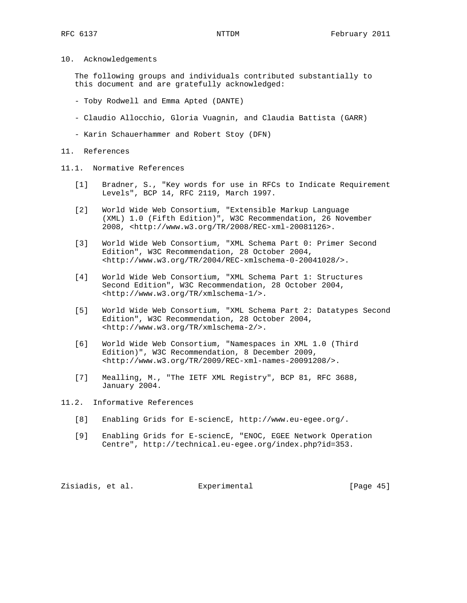10. Acknowledgements

 The following groups and individuals contributed substantially to this document and are gratefully acknowledged:

- Toby Rodwell and Emma Apted (DANTE)
- Claudio Allocchio, Gloria Vuagnin, and Claudia Battista (GARR)
- Karin Schauerhammer and Robert Stoy (DFN)

#### 11. References

- 11.1. Normative References
	- [1] Bradner, S., "Key words for use in RFCs to Indicate Requirement Levels", BCP 14, RFC 2119, March 1997.
	- [2] World Wide Web Consortium, "Extensible Markup Language (XML) 1.0 (Fifth Edition)", W3C Recommendation, 26 November 2008, <http://www.w3.org/TR/2008/REC-xml-20081126>.
	- [3] World Wide Web Consortium, "XML Schema Part 0: Primer Second Edition", W3C Recommendation, 28 October 2004, <http://www.w3.org/TR/2004/REC-xmlschema-0-20041028/>.
	- [4] World Wide Web Consortium, "XML Schema Part 1: Structures Second Edition", W3C Recommendation, 28 October 2004, <http://www.w3.org/TR/xmlschema-1/>.
	- [5] World Wide Web Consortium, "XML Schema Part 2: Datatypes Second Edition", W3C Recommendation, 28 October 2004, <http://www.w3.org/TR/xmlschema-2/>.
	- [6] World Wide Web Consortium, "Namespaces in XML 1.0 (Third Edition)", W3C Recommendation, 8 December 2009, <http://www.w3.org/TR/2009/REC-xml-names-20091208/>.
	- [7] Mealling, M., "The IETF XML Registry", BCP 81, RFC 3688, January 2004.

11.2. Informative References

- [8] Enabling Grids for E-sciencE, http://www.eu-egee.org/.
- [9] Enabling Grids for E-sciencE, "ENOC, EGEE Network Operation Centre", http://technical.eu-egee.org/index.php?id=353.

Zisiadis, et al. Experimental [Page 45]